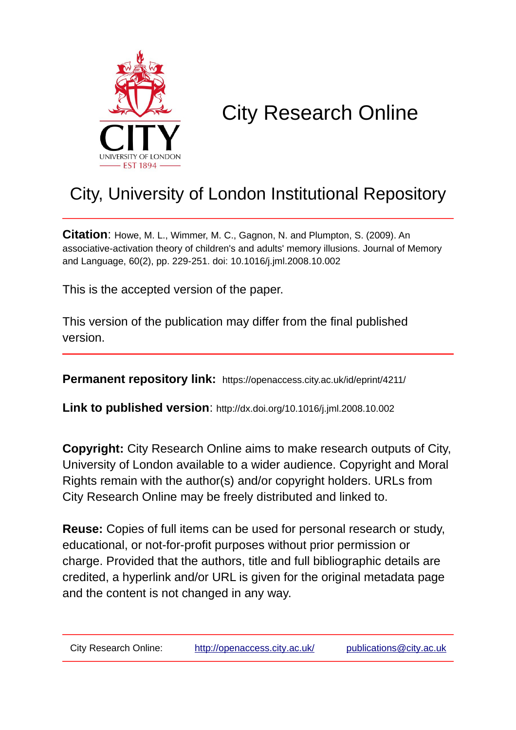

# City Research Online

## City, University of London Institutional Repository

**Citation**: Howe, M. L., Wimmer, M. C., Gagnon, N. and Plumpton, S. (2009). An associative-activation theory of children's and adults' memory illusions. Journal of Memory and Language, 60(2), pp. 229-251. doi: 10.1016/j.jml.2008.10.002

This is the accepted version of the paper.

This version of the publication may differ from the final published version.

**Permanent repository link:** https://openaccess.city.ac.uk/id/eprint/4211/

**Link to published version**: http://dx.doi.org/10.1016/j.jml.2008.10.002

**Copyright:** City Research Online aims to make research outputs of City, University of London available to a wider audience. Copyright and Moral Rights remain with the author(s) and/or copyright holders. URLs from City Research Online may be freely distributed and linked to.

**Reuse:** Copies of full items can be used for personal research or study, educational, or not-for-profit purposes without prior permission or charge. Provided that the authors, title and full bibliographic details are credited, a hyperlink and/or URL is given for the original metadata page and the content is not changed in any way.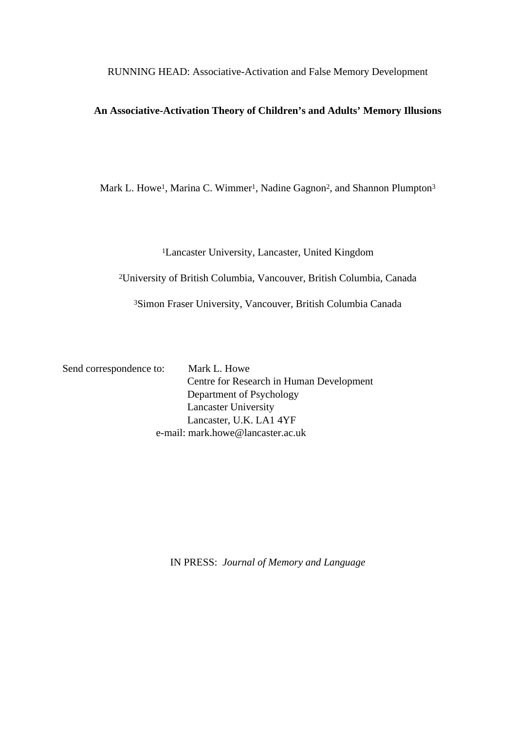RUNNING HEAD: Associative-Activation and False Memory Development

#### **An Associative-Activation Theory of Children's and Adults' Memory Illusions**

Mark L. Howe<sup>1</sup>, Marina C. Wimmer<sup>1</sup>, Nadine Gagnon<sup>2</sup>, and Shannon Plumpton<sup>3</sup>

<sup>1</sup>Lancaster University, Lancaster, United Kingdom

<sup>2</sup>University of British Columbia, Vancouver, British Columbia, Canada

<sup>3</sup>Simon Fraser University, Vancouver, British Columbia Canada

Send correspondence to: Mark L. Howe

 Centre for Research in Human Development Department of Psychology Lancaster University Lancaster, U.K. LA1 4YF e-mail: mark.howe@lancaster.ac.uk

IN PRESS: *Journal of Memory and Language*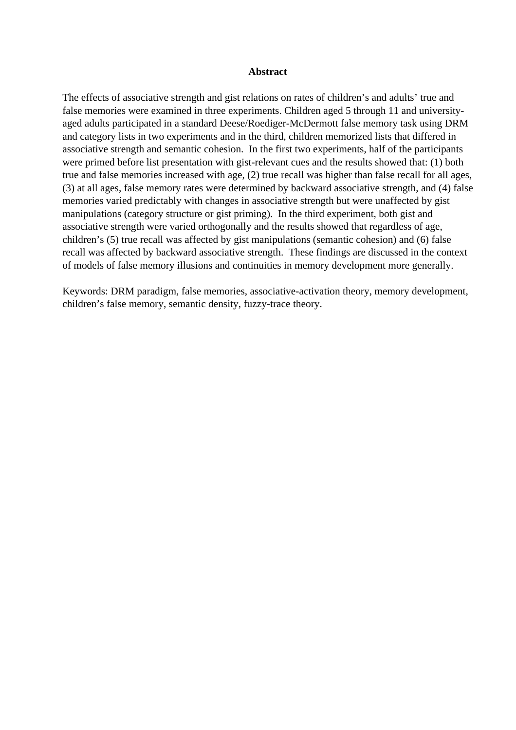#### **Abstract**

The effects of associative strength and gist relations on rates of children's and adults' true and false memories were examined in three experiments. Children aged 5 through 11 and universityaged adults participated in a standard Deese/Roediger-McDermott false memory task using DRM and category lists in two experiments and in the third, children memorized lists that differed in associative strength and semantic cohesion. In the first two experiments, half of the participants were primed before list presentation with gist-relevant cues and the results showed that: (1) both true and false memories increased with age, (2) true recall was higher than false recall for all ages, (3) at all ages, false memory rates were determined by backward associative strength, and (4) false memories varied predictably with changes in associative strength but were unaffected by gist manipulations (category structure or gist priming). In the third experiment, both gist and associative strength were varied orthogonally and the results showed that regardless of age, children's (5) true recall was affected by gist manipulations (semantic cohesion) and (6) false recall was affected by backward associative strength. These findings are discussed in the context of models of false memory illusions and continuities in memory development more generally.

Keywords: DRM paradigm, false memories, associative-activation theory, memory development, children's false memory, semantic density, fuzzy-trace theory.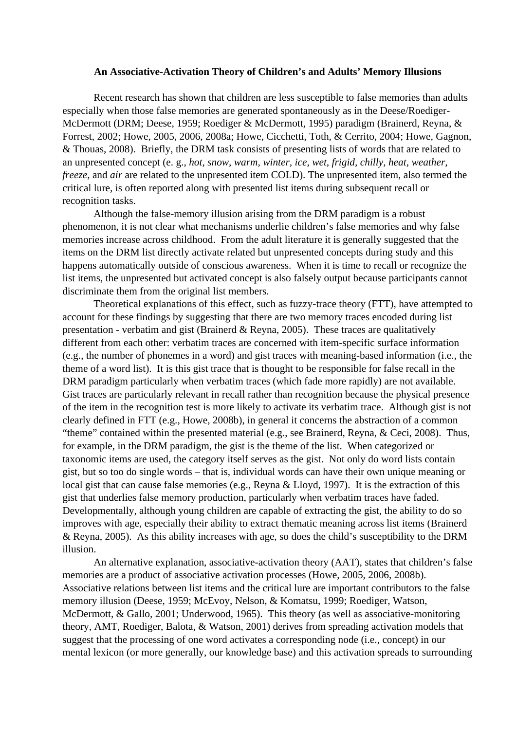#### **An Associative-Activation Theory of Children's and Adults' Memory Illusions**

Recent research has shown that children are less susceptible to false memories than adults especially when those false memories are generated spontaneously as in the Deese/Roediger-McDermott (DRM; Deese, 1959; Roediger & McDermott, 1995) paradigm (Brainerd, Reyna, & Forrest, 2002; Howe, 2005, 2006, 2008a; Howe, Cicchetti, Toth, & Cerrito, 2004; Howe, Gagnon, & Thouas, 2008). Briefly, the DRM task consists of presenting lists of words that are related to an unpresented concept (e. g., *hot, snow, warm, winter, ice, wet, frigid, chilly, heat, weather, freeze*, and *air* are related to the unpresented item COLD). The unpresented item, also termed the critical lure, is often reported along with presented list items during subsequent recall or recognition tasks.

Although the false-memory illusion arising from the DRM paradigm is a robust phenomenon, it is not clear what mechanisms underlie children's false memories and why false memories increase across childhood. From the adult literature it is generally suggested that the items on the DRM list directly activate related but unpresented concepts during study and this happens automatically outside of conscious awareness. When it is time to recall or recognize the list items, the unpresented but activated concept is also falsely output because participants cannot discriminate them from the original list members.

Theoretical explanations of this effect, such as fuzzy-trace theory (FTT), have attempted to account for these findings by suggesting that there are two memory traces encoded during list presentation - verbatim and gist (Brainerd & Reyna, 2005). These traces are qualitatively different from each other: verbatim traces are concerned with item-specific surface information (e.g., the number of phonemes in a word) and gist traces with meaning-based information (i.e., the theme of a word list). It is this gist trace that is thought to be responsible for false recall in the DRM paradigm particularly when verbatim traces (which fade more rapidly) are not available. Gist traces are particularly relevant in recall rather than recognition because the physical presence of the item in the recognition test is more likely to activate its verbatim trace. Although gist is not clearly defined in FTT (e.g., Howe, 2008b), in general it concerns the abstraction of a common "theme" contained within the presented material (e.g., see Brainerd, Reyna, & Ceci, 2008). Thus, for example, in the DRM paradigm, the gist is the theme of the list. When categorized or taxonomic items are used, the category itself serves as the gist. Not only do word lists contain gist, but so too do single words – that is, individual words can have their own unique meaning or local gist that can cause false memories (e.g., Reyna & Lloyd, 1997). It is the extraction of this gist that underlies false memory production, particularly when verbatim traces have faded. Developmentally, although young children are capable of extracting the gist, the ability to do so improves with age, especially their ability to extract thematic meaning across list items (Brainerd & Reyna, 2005). As this ability increases with age, so does the child's susceptibility to the DRM illusion.

An alternative explanation, associative-activation theory (AAT), states that children's false memories are a product of associative activation processes (Howe, 2005, 2006, 2008b). Associative relations between list items and the critical lure are important contributors to the false memory illusion (Deese, 1959; McEvoy, Nelson, & Komatsu, 1999; Roediger, Watson, McDermott, & Gallo, 2001; Underwood, 1965). This theory (as well as associative-monitoring theory, AMT, Roediger, Balota, & Watson, 2001) derives from spreading activation models that suggest that the processing of one word activates a corresponding node (i.e., concept) in our mental lexicon (or more generally, our knowledge base) and this activation spreads to surrounding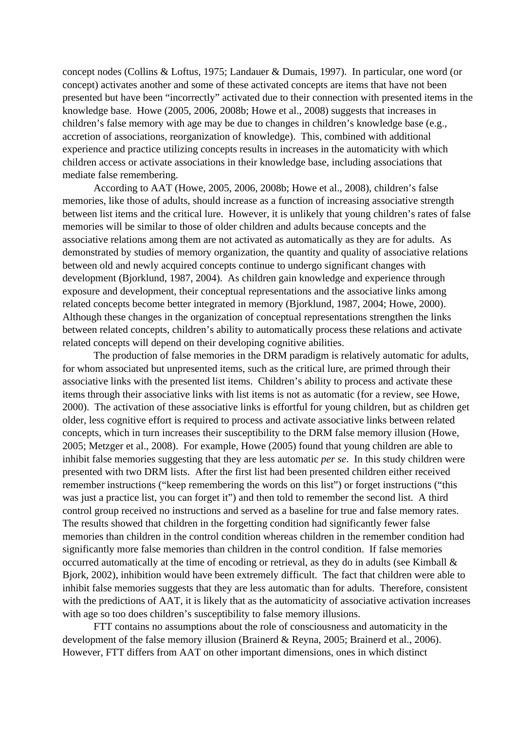concept nodes (Collins & Loftus, 1975; Landauer & Dumais, 1997). In particular, one word (or concept) activates another and some of these activated concepts are items that have not been presented but have been "incorrectly" activated due to their connection with presented items in the knowledge base. Howe (2005, 2006, 2008b; Howe et al., 2008) suggests that increases in children's false memory with age may be due to changes in children's knowledge base (e.g., accretion of associations, reorganization of knowledge). This, combined with additional experience and practice utilizing concepts results in increases in the automaticity with which children access or activate associations in their knowledge base, including associations that mediate false remembering.

According to AAT (Howe, 2005, 2006, 2008b; Howe et al., 2008), children's false memories, like those of adults, should increase as a function of increasing associative strength between list items and the critical lure. However, it is unlikely that young children's rates of false memories will be similar to those of older children and adults because concepts and the associative relations among them are not activated as automatically as they are for adults. As demonstrated by studies of memory organization, the quantity and quality of associative relations between old and newly acquired concepts continue to undergo significant changes with development (Bjorklund, 1987, 2004). As children gain knowledge and experience through exposure and development, their conceptual representations and the associative links among related concepts become better integrated in memory (Bjorklund, 1987, 2004; Howe, 2000). Although these changes in the organization of conceptual representations strengthen the links between related concepts, children's ability to automatically process these relations and activate related concepts will depend on their developing cognitive abilities.

The production of false memories in the DRM paradigm is relatively automatic for adults, for whom associated but unpresented items, such as the critical lure, are primed through their associative links with the presented list items. Children's ability to process and activate these items through their associative links with list items is not as automatic (for a review, see Howe, 2000). The activation of these associative links is effortful for young children, but as children get older, less cognitive effort is required to process and activate associative links between related concepts, which in turn increases their susceptibility to the DRM false memory illusion (Howe, 2005; Metzger et al., 2008). For example, Howe (2005) found that young children are able to inhibit false memories suggesting that they are less automatic *per se*. In this study children were presented with two DRM lists. After the first list had been presented children either received remember instructions ("keep remembering the words on this list") or forget instructions ("this was just a practice list, you can forget it") and then told to remember the second list. A third control group received no instructions and served as a baseline for true and false memory rates. The results showed that children in the forgetting condition had significantly fewer false memories than children in the control condition whereas children in the remember condition had significantly more false memories than children in the control condition. If false memories occurred automatically at the time of encoding or retrieval, as they do in adults (see Kimball & Bjork, 2002), inhibition would have been extremely difficult. The fact that children were able to inhibit false memories suggests that they are less automatic than for adults. Therefore, consistent with the predictions of AAT, it is likely that as the automaticity of associative activation increases with age so too does children's susceptibility to false memory illusions.

FTT contains no assumptions about the role of consciousness and automaticity in the development of the false memory illusion (Brainerd & Reyna, 2005; Brainerd et al., 2006). However, FTT differs from AAT on other important dimensions, ones in which distinct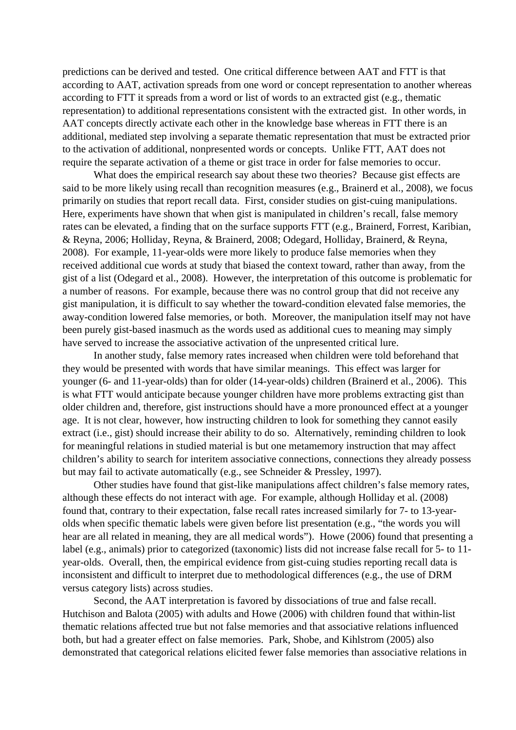predictions can be derived and tested. One critical difference between AAT and FTT is that according to AAT, activation spreads from one word or concept representation to another whereas according to FTT it spreads from a word or list of words to an extracted gist (e.g., thematic representation) to additional representations consistent with the extracted gist. In other words, in AAT concepts directly activate each other in the knowledge base whereas in FTT there is an additional, mediated step involving a separate thematic representation that must be extracted prior to the activation of additional, nonpresented words or concepts. Unlike FTT, AAT does not require the separate activation of a theme or gist trace in order for false memories to occur.

What does the empirical research say about these two theories? Because gist effects are said to be more likely using recall than recognition measures (e.g., Brainerd et al., 2008), we focus primarily on studies that report recall data. First, consider studies on gist-cuing manipulations. Here, experiments have shown that when gist is manipulated in children's recall, false memory rates can be elevated, a finding that on the surface supports FTT (e.g., Brainerd, Forrest, Karibian, & Reyna, 2006; Holliday, Reyna, & Brainerd, 2008; Odegard, Holliday, Brainerd, & Reyna, 2008). For example, 11-year-olds were more likely to produce false memories when they received additional cue words at study that biased the context toward, rather than away, from the gist of a list (Odegard et al., 2008). However, the interpretation of this outcome is problematic for a number of reasons. For example, because there was no control group that did not receive any gist manipulation, it is difficult to say whether the toward-condition elevated false memories, the away-condition lowered false memories, or both. Moreover, the manipulation itself may not have been purely gist-based inasmuch as the words used as additional cues to meaning may simply have served to increase the associative activation of the unpresented critical lure.

In another study, false memory rates increased when children were told beforehand that they would be presented with words that have similar meanings. This effect was larger for younger (6- and 11-year-olds) than for older (14-year-olds) children (Brainerd et al., 2006). This is what FTT would anticipate because younger children have more problems extracting gist than older children and, therefore, gist instructions should have a more pronounced effect at a younger age. It is not clear, however, how instructing children to look for something they cannot easily extract (i.e., gist) should increase their ability to do so. Alternatively, reminding children to look for meaningful relations in studied material is but one metamemory instruction that may affect children's ability to search for interitem associative connections, connections they already possess but may fail to activate automatically (e.g., see Schneider & Pressley, 1997).

Other studies have found that gist-like manipulations affect children's false memory rates, although these effects do not interact with age. For example, although Holliday et al. (2008) found that, contrary to their expectation, false recall rates increased similarly for 7- to 13-yearolds when specific thematic labels were given before list presentation (e.g., "the words you will hear are all related in meaning, they are all medical words"). Howe (2006) found that presenting a label (e.g., animals) prior to categorized (taxonomic) lists did not increase false recall for 5- to 11 year-olds. Overall, then, the empirical evidence from gist-cuing studies reporting recall data is inconsistent and difficult to interpret due to methodological differences (e.g., the use of DRM versus category lists) across studies.

Second, the AAT interpretation is favored by dissociations of true and false recall. Hutchison and Balota (2005) with adults and Howe (2006) with children found that within-list thematic relations affected true but not false memories and that associative relations influenced both, but had a greater effect on false memories. Park, Shobe, and Kihlstrom (2005) also demonstrated that categorical relations elicited fewer false memories than associative relations in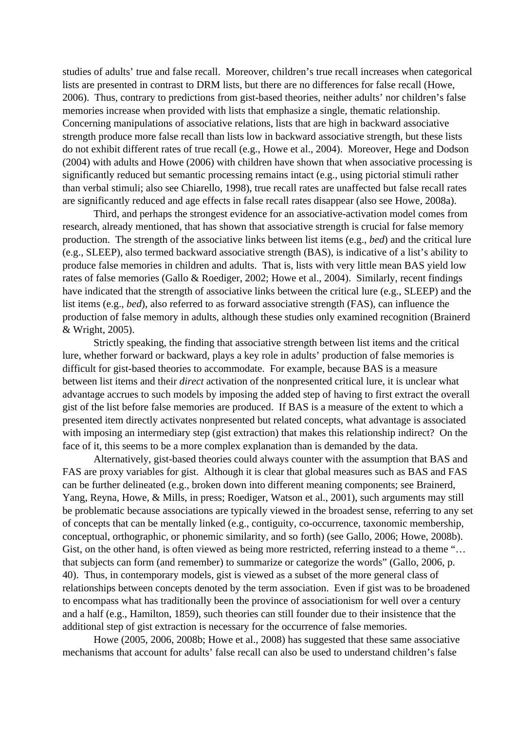studies of adults' true and false recall. Moreover, children's true recall increases when categorical lists are presented in contrast to DRM lists, but there are no differences for false recall (Howe, 2006). Thus, contrary to predictions from gist-based theories, neither adults' nor children's false memories increase when provided with lists that emphasize a single, thematic relationship. Concerning manipulations of associative relations, lists that are high in backward associative strength produce more false recall than lists low in backward associative strength, but these lists do not exhibit different rates of true recall (e.g., Howe et al., 2004). Moreover, Hege and Dodson (2004) with adults and Howe (2006) with children have shown that when associative processing is significantly reduced but semantic processing remains intact (e.g., using pictorial stimuli rather than verbal stimuli; also see Chiarello, 1998), true recall rates are unaffected but false recall rates are significantly reduced and age effects in false recall rates disappear (also see Howe, 2008a).

Third, and perhaps the strongest evidence for an associative-activation model comes from research, already mentioned, that has shown that associative strength is crucial for false memory production. The strength of the associative links between list items (e.g., *bed*) and the critical lure (e.g., SLEEP), also termed backward associative strength (BAS), is indicative of a list's ability to produce false memories in children and adults. That is, lists with very little mean BAS yield low rates of false memories (Gallo & Roediger, 2002; Howe et al., 2004). Similarly, recent findings have indicated that the strength of associative links between the critical lure (e.g., SLEEP) and the list items (e.g., *bed*), also referred to as forward associative strength (FAS), can influence the production of false memory in adults, although these studies only examined recognition (Brainerd & Wright, 2005).

Strictly speaking, the finding that associative strength between list items and the critical lure, whether forward or backward, plays a key role in adults' production of false memories is difficult for gist-based theories to accommodate. For example, because BAS is a measure between list items and their *direct* activation of the nonpresented critical lure, it is unclear what advantage accrues to such models by imposing the added step of having to first extract the overall gist of the list before false memories are produced. If BAS is a measure of the extent to which a presented item directly activates nonpresented but related concepts, what advantage is associated with imposing an intermediary step (gist extraction) that makes this relationship indirect? On the face of it, this seems to be a more complex explanation than is demanded by the data.

Alternatively, gist-based theories could always counter with the assumption that BAS and FAS are proxy variables for gist. Although it is clear that global measures such as BAS and FAS can be further delineated (e.g., broken down into different meaning components; see Brainerd, Yang, Reyna, Howe, & Mills, in press; Roediger, Watson et al., 2001), such arguments may still be problematic because associations are typically viewed in the broadest sense, referring to any set of concepts that can be mentally linked (e.g., contiguity, co-occurrence, taxonomic membership, conceptual, orthographic, or phonemic similarity, and so forth) (see Gallo, 2006; Howe, 2008b). Gist, on the other hand, is often viewed as being more restricted, referring instead to a theme "... that subjects can form (and remember) to summarize or categorize the words" (Gallo, 2006, p. 40). Thus, in contemporary models, gist is viewed as a subset of the more general class of relationships between concepts denoted by the term association. Even if gist was to be broadened to encompass what has traditionally been the province of associationism for well over a century and a half (e.g., Hamilton, 1859), such theories can still founder due to their insistence that the additional step of gist extraction is necessary for the occurrence of false memories.

Howe (2005, 2006, 2008b; Howe et al., 2008) has suggested that these same associative mechanisms that account for adults' false recall can also be used to understand children's false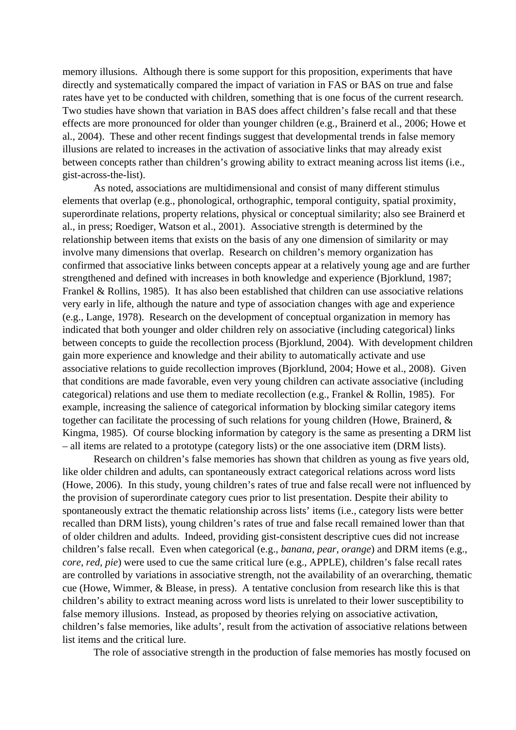memory illusions. Although there is some support for this proposition, experiments that have directly and systematically compared the impact of variation in FAS or BAS on true and false rates have yet to be conducted with children, something that is one focus of the current research. Two studies have shown that variation in BAS does affect children's false recall and that these effects are more pronounced for older than younger children (e.g., Brainerd et al., 2006; Howe et al., 2004). These and other recent findings suggest that developmental trends in false memory illusions are related to increases in the activation of associative links that may already exist between concepts rather than children's growing ability to extract meaning across list items (i.e., gist-across-the-list).

As noted, associations are multidimensional and consist of many different stimulus elements that overlap (e.g., phonological, orthographic, temporal contiguity, spatial proximity, superordinate relations, property relations, physical or conceptual similarity; also see Brainerd et al., in press; Roediger, Watson et al., 2001). Associative strength is determined by the relationship between items that exists on the basis of any one dimension of similarity or may involve many dimensions that overlap. Research on children's memory organization has confirmed that associative links between concepts appear at a relatively young age and are further strengthened and defined with increases in both knowledge and experience (Bjorklund, 1987; Frankel & Rollins, 1985). It has also been established that children can use associative relations very early in life, although the nature and type of association changes with age and experience (e.g., Lange, 1978). Research on the development of conceptual organization in memory has indicated that both younger and older children rely on associative (including categorical) links between concepts to guide the recollection process (Bjorklund, 2004). With development children gain more experience and knowledge and their ability to automatically activate and use associative relations to guide recollection improves (Bjorklund, 2004; Howe et al., 2008). Given that conditions are made favorable, even very young children can activate associative (including categorical) relations and use them to mediate recollection (e.g., Frankel & Rollin, 1985). For example, increasing the salience of categorical information by blocking similar category items together can facilitate the processing of such relations for young children (Howe, Brainerd, & Kingma, 1985). Of course blocking information by category is the same as presenting a DRM list – all items are related to a prototype (category lists) or the one associative item (DRM lists).

 Research on children's false memories has shown that children as young as five years old, like older children and adults, can spontaneously extract categorical relations across word lists (Howe, 2006). In this study, young children's rates of true and false recall were not influenced by the provision of superordinate category cues prior to list presentation. Despite their ability to spontaneously extract the thematic relationship across lists' items (i.e., category lists were better recalled than DRM lists), young children's rates of true and false recall remained lower than that of older children and adults. Indeed, providing gist-consistent descriptive cues did not increase children's false recall. Even when categorical (e.g., *banana, pear, orange*) and DRM items (e.g., *core, red, pie*) were used to cue the same critical lure (e.g., APPLE), children's false recall rates are controlled by variations in associative strength, not the availability of an overarching, thematic cue (Howe, Wimmer, & Blease, in press). A tentative conclusion from research like this is that children's ability to extract meaning across word lists is unrelated to their lower susceptibility to false memory illusions. Instead, as proposed by theories relying on associative activation, children's false memories, like adults', result from the activation of associative relations between list items and the critical lure.

The role of associative strength in the production of false memories has mostly focused on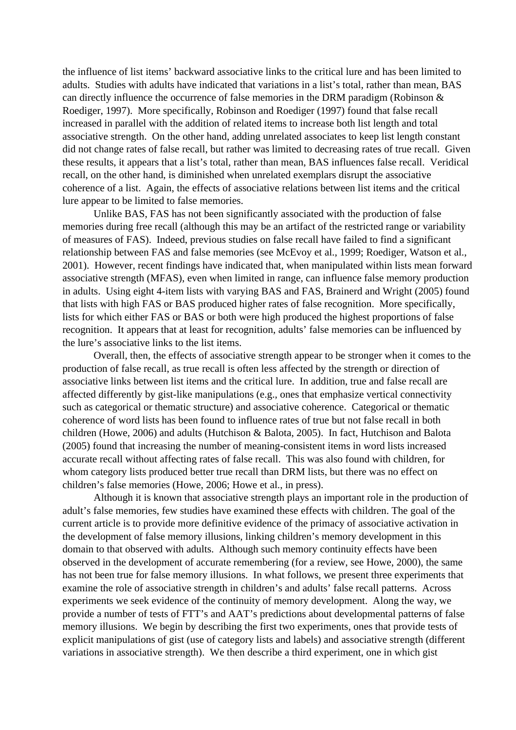the influence of list items' backward associative links to the critical lure and has been limited to adults. Studies with adults have indicated that variations in a list's total, rather than mean, BAS can directly influence the occurrence of false memories in the DRM paradigm (Robinson  $\&$ Roediger, 1997). More specifically, Robinson and Roediger (1997) found that false recall increased in parallel with the addition of related items to increase both list length and total associative strength. On the other hand, adding unrelated associates to keep list length constant did not change rates of false recall, but rather was limited to decreasing rates of true recall. Given these results, it appears that a list's total, rather than mean, BAS influences false recall. Veridical recall, on the other hand, is diminished when unrelated exemplars disrupt the associative coherence of a list. Again, the effects of associative relations between list items and the critical lure appear to be limited to false memories.

Unlike BAS, FAS has not been significantly associated with the production of false memories during free recall (although this may be an artifact of the restricted range or variability of measures of FAS). Indeed, previous studies on false recall have failed to find a significant relationship between FAS and false memories (see McEvoy et al., 1999; Roediger, Watson et al., 2001). However, recent findings have indicated that, when manipulated within lists mean forward associative strength (MFAS), even when limited in range, can influence false memory production in adults. Using eight 4-item lists with varying BAS and FAS, Brainerd and Wright (2005) found that lists with high FAS or BAS produced higher rates of false recognition. More specifically, lists for which either FAS or BAS or both were high produced the highest proportions of false recognition. It appears that at least for recognition, adults' false memories can be influenced by the lure's associative links to the list items.

Overall, then, the effects of associative strength appear to be stronger when it comes to the production of false recall, as true recall is often less affected by the strength or direction of associative links between list items and the critical lure. In addition, true and false recall are affected differently by gist-like manipulations (e.g., ones that emphasize vertical connectivity such as categorical or thematic structure) and associative coherence. Categorical or thematic coherence of word lists has been found to influence rates of true but not false recall in both children (Howe, 2006) and adults (Hutchison & Balota, 2005). In fact, Hutchison and Balota (2005) found that increasing the number of meaning-consistent items in word lists increased accurate recall without affecting rates of false recall. This was also found with children, for whom category lists produced better true recall than DRM lists, but there was no effect on children's false memories (Howe, 2006; Howe et al., in press).

Although it is known that associative strength plays an important role in the production of adult's false memories, few studies have examined these effects with children. The goal of the current article is to provide more definitive evidence of the primacy of associative activation in the development of false memory illusions, linking children's memory development in this domain to that observed with adults. Although such memory continuity effects have been observed in the development of accurate remembering (for a review, see Howe, 2000), the same has not been true for false memory illusions. In what follows, we present three experiments that examine the role of associative strength in children's and adults' false recall patterns. Across experiments we seek evidence of the continuity of memory development. Along the way, we provide a number of tests of FTT's and AAT's predictions about developmental patterns of false memory illusions. We begin by describing the first two experiments, ones that provide tests of explicit manipulations of gist (use of category lists and labels) and associative strength (different variations in associative strength). We then describe a third experiment, one in which gist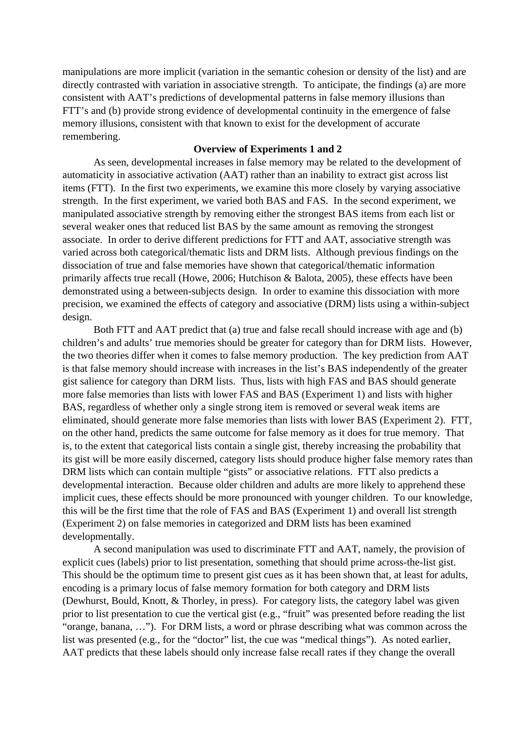manipulations are more implicit (variation in the semantic cohesion or density of the list) and are directly contrasted with variation in associative strength. To anticipate, the findings (a) are more consistent with AAT's predictions of developmental patterns in false memory illusions than FTT's and (b) provide strong evidence of developmental continuity in the emergence of false memory illusions, consistent with that known to exist for the development of accurate remembering.

#### **Overview of Experiments 1 and 2**

As seen, developmental increases in false memory may be related to the development of automaticity in associative activation (AAT) rather than an inability to extract gist across list items (FTT). In the first two experiments, we examine this more closely by varying associative strength. In the first experiment, we varied both BAS and FAS. In the second experiment, we manipulated associative strength by removing either the strongest BAS items from each list or several weaker ones that reduced list BAS by the same amount as removing the strongest associate. In order to derive different predictions for FTT and AAT, associative strength was varied across both categorical/thematic lists and DRM lists. Although previous findings on the dissociation of true and false memories have shown that categorical/thematic information primarily affects true recall (Howe, 2006; Hutchison & Balota, 2005), these effects have been demonstrated using a between-subjects design. In order to examine this dissociation with more precision, we examined the effects of category and associative (DRM) lists using a within-subject design.

Both FTT and AAT predict that (a) true and false recall should increase with age and (b) children's and adults' true memories should be greater for category than for DRM lists. However, the two theories differ when it comes to false memory production. The key prediction from AAT is that false memory should increase with increases in the list's BAS independently of the greater gist salience for category than DRM lists. Thus, lists with high FAS and BAS should generate more false memories than lists with lower FAS and BAS (Experiment 1) and lists with higher BAS, regardless of whether only a single strong item is removed or several weak items are eliminated, should generate more false memories than lists with lower BAS (Experiment 2). FTT, on the other hand, predicts the same outcome for false memory as it does for true memory. That is, to the extent that categorical lists contain a single gist, thereby increasing the probability that its gist will be more easily discerned, category lists should produce higher false memory rates than DRM lists which can contain multiple "gists" or associative relations. FTT also predicts a developmental interaction. Because older children and adults are more likely to apprehend these implicit cues, these effects should be more pronounced with younger children. To our knowledge, this will be the first time that the role of FAS and BAS (Experiment 1) and overall list strength (Experiment 2) on false memories in categorized and DRM lists has been examined developmentally.

A second manipulation was used to discriminate FTT and AAT, namely, the provision of explicit cues (labels) prior to list presentation, something that should prime across-the-list gist. This should be the optimum time to present gist cues as it has been shown that, at least for adults, encoding is a primary locus of false memory formation for both category and DRM lists (Dewhurst, Bould, Knott, & Thorley, in press). For category lists, the category label was given prior to list presentation to cue the vertical gist (e.g., "fruit" was presented before reading the list "orange, banana, …"). For DRM lists, a word or phrase describing what was common across the list was presented (e.g., for the "doctor" list, the cue was "medical things"). As noted earlier, AAT predicts that these labels should only increase false recall rates if they change the overall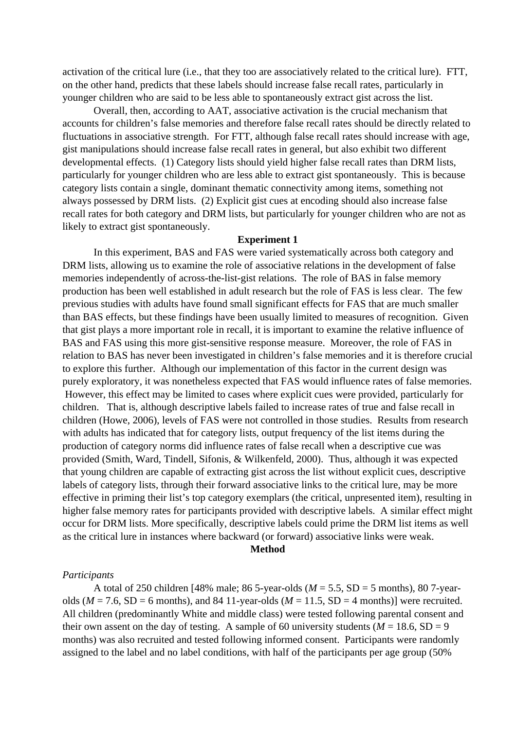activation of the critical lure (i.e., that they too are associatively related to the critical lure). FTT, on the other hand, predicts that these labels should increase false recall rates, particularly in younger children who are said to be less able to spontaneously extract gist across the list.

Overall, then, according to AAT, associative activation is the crucial mechanism that accounts for children's false memories and therefore false recall rates should be directly related to fluctuations in associative strength. For FTT, although false recall rates should increase with age, gist manipulations should increase false recall rates in general, but also exhibit two different developmental effects. (1) Category lists should yield higher false recall rates than DRM lists, particularly for younger children who are less able to extract gist spontaneously. This is because category lists contain a single, dominant thematic connectivity among items, something not always possessed by DRM lists. (2) Explicit gist cues at encoding should also increase false recall rates for both category and DRM lists, but particularly for younger children who are not as likely to extract gist spontaneously.

#### **Experiment 1**

In this experiment, BAS and FAS were varied systematically across both category and DRM lists, allowing us to examine the role of associative relations in the development of false memories independently of across-the-list-gist relations. The role of BAS in false memory production has been well established in adult research but the role of FAS is less clear. The few previous studies with adults have found small significant effects for FAS that are much smaller than BAS effects, but these findings have been usually limited to measures of recognition. Given that gist plays a more important role in recall, it is important to examine the relative influence of BAS and FAS using this more gist-sensitive response measure. Moreover, the role of FAS in relation to BAS has never been investigated in children's false memories and it is therefore crucial to explore this further. Although our implementation of this factor in the current design was purely exploratory, it was nonetheless expected that FAS would influence rates of false memories. However, this effect may be limited to cases where explicit cues were provided, particularly for children. That is, although descriptive labels failed to increase rates of true and false recall in children (Howe, 2006), levels of FAS were not controlled in those studies. Results from research with adults has indicated that for category lists, output frequency of the list items during the production of category norms did influence rates of false recall when a descriptive cue was provided (Smith, Ward, Tindell, Sifonis, & Wilkenfeld, 2000). Thus, although it was expected that young children are capable of extracting gist across the list without explicit cues, descriptive labels of category lists, through their forward associative links to the critical lure, may be more effective in priming their list's top category exemplars (the critical, unpresented item), resulting in higher false memory rates for participants provided with descriptive labels. A similar effect might occur for DRM lists. More specifically, descriptive labels could prime the DRM list items as well as the critical lure in instances where backward (or forward) associative links were weak.

#### **Method**

#### *Participants*

A total of 250 children [48% male; 86 5-year-olds (*M* = 5.5, SD = 5 months), 80 7-yearolds ( $M = 7.6$ , SD = 6 months), and 84 11-year-olds ( $M = 11.5$ , SD = 4 months)] were recruited. All children (predominantly White and middle class) were tested following parental consent and their own assent on the day of testing. A sample of 60 university students ( $M = 18.6$ , SD = 9 months) was also recruited and tested following informed consent. Participants were randomly assigned to the label and no label conditions, with half of the participants per age group (50%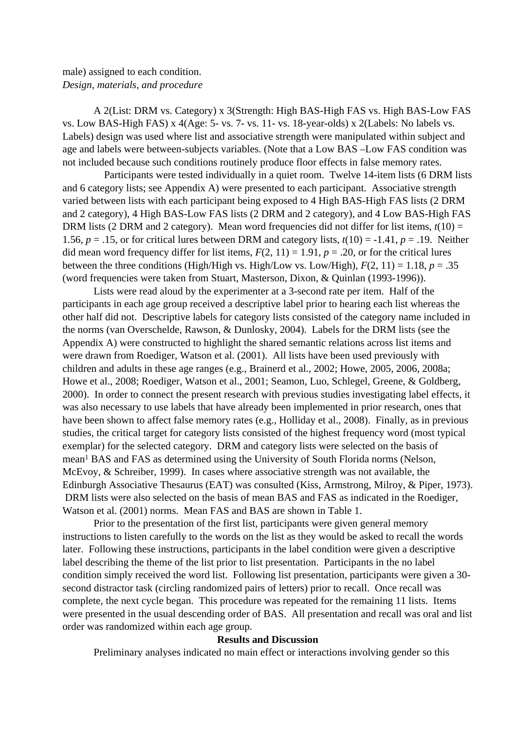male) assigned to each condition. *Design, materials, and procedure*

A 2(List: DRM vs. Category) x 3(Strength: High BAS-High FAS vs. High BAS-Low FAS vs. Low BAS-High FAS) x 4(Age: 5- vs. 7- vs. 11- vs. 18-year-olds) x 2(Labels: No labels vs. Labels) design was used where list and associative strength were manipulated within subject and age and labels were between-subjects variables. (Note that a Low BAS –Low FAS condition was not included because such conditions routinely produce floor effects in false memory rates.

Participants were tested individually in a quiet room. Twelve 14-item lists (6 DRM lists and 6 category lists; see Appendix A) were presented to each participant. Associative strength varied between lists with each participant being exposed to 4 High BAS-High FAS lists (2 DRM and 2 category), 4 High BAS-Low FAS lists (2 DRM and 2 category), and 4 Low BAS-High FAS DRM lists (2 DRM and 2 category). Mean word frequencies did not differ for list items,  $t(10)$  = 1.56,  $p = 0.15$ , or for critical lures between DRM and category lists,  $t(10) = -1.41$ ,  $p = 0.19$ . Neither did mean word frequency differ for list items,  $F(2, 11) = 1.91$ ,  $p = .20$ , or for the critical lures between the three conditions (High/High vs. High/Low vs. Low/High),  $F(2, 11) = 1.18$ ,  $p = .35$ (word frequencies were taken from Stuart, Masterson, Dixon, & Quinlan (1993-1996)).

Lists were read aloud by the experimenter at a 3-second rate per item. Half of the participants in each age group received a descriptive label prior to hearing each list whereas the other half did not. Descriptive labels for category lists consisted of the category name included in the norms (van Overschelde, Rawson, & Dunlosky, 2004). Labels for the DRM lists (see the Appendix A) were constructed to highlight the shared semantic relations across list items and were drawn from Roediger, Watson et al. (2001). All lists have been used previously with children and adults in these age ranges (e.g., Brainerd et al., 2002; Howe, 2005, 2006, 2008a; Howe et al., 2008; Roediger, Watson et al., 2001; Seamon, Luo, Schlegel, Greene, & Goldberg, 2000). In order to connect the present research with previous studies investigating label effects, it was also necessary to use labels that have already been implemented in prior research, ones that have been shown to affect false memory rates (e.g., Holliday et al., 2008). Finally, as in previous studies, the critical target for category lists consisted of the highest frequency word (most typical exemplar) for the selected category. DRM and category lists were selected on the basis of mean<sup>1</sup> BAS and FAS as determined using the University of South Florida norms (Nelson, McEvoy, & Schreiber, 1999). In cases where associative strength was not available, the Edinburgh Associative Thesaurus (EAT) was consulted (Kiss, Armstrong, Milroy, & Piper, 1973). DRM lists were also selected on the basis of mean BAS and FAS as indicated in the Roediger, Watson et al. (2001) norms. Mean FAS and BAS are shown in Table 1.

Prior to the presentation of the first list, participants were given general memory instructions to listen carefully to the words on the list as they would be asked to recall the words later. Following these instructions, participants in the label condition were given a descriptive label describing the theme of the list prior to list presentation. Participants in the no label condition simply received the word list. Following list presentation, participants were given a 30 second distractor task (circling randomized pairs of letters) prior to recall. Once recall was complete, the next cycle began. This procedure was repeated for the remaining 11 lists. Items were presented in the usual descending order of BAS. All presentation and recall was oral and list order was randomized within each age group.

#### **Results and Discussion**

Preliminary analyses indicated no main effect or interactions involving gender so this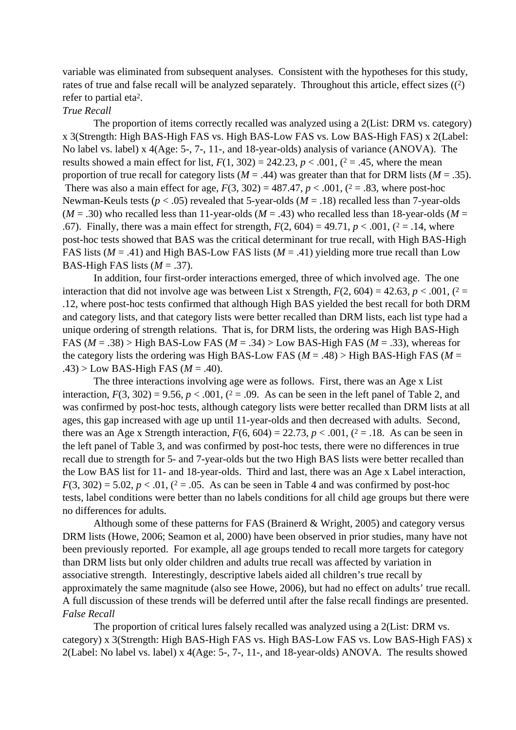variable was eliminated from subsequent analyses. Consistent with the hypotheses for this study, rates of true and false recall will be analyzed separately. Throughout this article, effect sizes ((2) refer to partial eta2.

#### *True Recall*

 The proportion of items correctly recalled was analyzed using a 2(List: DRM vs. category) x 3(Strength: High BAS-High FAS vs. High BAS-Low FAS vs. Low BAS-High FAS) x 2(Label: No label vs. label) x 4(Age: 5-, 7-, 11-, and 18-year-olds) analysis of variance (ANOVA). The results showed a main effect for list,  $F(1, 302) = 242.23$ ,  $p < .001$ ,  $(2 = .45)$ , where the mean proportion of true recall for category lists ( $M = .44$ ) was greater than that for DRM lists ( $M = .35$ ). There was also a main effect for age,  $F(3, 302) = 487.47$ ,  $p < .001$ ,  $(2 = .83)$ , where post-hoc Newman-Keuls tests (*p* < .05) revealed that 5-year-olds (*M* = .18) recalled less than 7-year-olds  $(M = .30)$  who recalled less than 11-year-olds  $(M = .43)$  who recalled less than 18-year-olds  $(M = .43)$ .67). Finally, there was a main effect for strength,  $F(2, 604) = 49.71$ ,  $p < .001$ ,  $(2 = .14)$ , where post-hoc tests showed that BAS was the critical determinant for true recall, with High BAS-High FAS lists ( $M = .41$ ) and High BAS-Low FAS lists ( $M = .41$ ) yielding more true recall than Low BAS-High FAS lists  $(M = .37)$ .

In addition, four first-order interactions emerged, three of which involved age. The one interaction that did not involve age was between List x Strength,  $F(2, 604) = 42.63$ ,  $p < .001$ ,  $(2 =$ .12, where post-hoc tests confirmed that although High BAS yielded the best recall for both DRM and category lists, and that category lists were better recalled than DRM lists, each list type had a unique ordering of strength relations. That is, for DRM lists, the ordering was High BAS-High FAS ( $M = .38$ ) > High BAS-Low FAS ( $M = .34$ ) > Low BAS-High FAS ( $M = .33$ ), whereas for the category lists the ordering was High BAS-Low FAS ( $M = .48$ ) > High BAS-High FAS ( $M =$ .43) > Low BAS-High FAS (*M* = .40).

The three interactions involving age were as follows. First, there was an Age x List interaction,  $F(3, 302) = 9.56$ ,  $p < .001$ ,  $(2 = .09$ . As can be seen in the left panel of Table 2, and was confirmed by post-hoc tests, although category lists were better recalled than DRM lists at all ages, this gap increased with age up until 11-year-olds and then decreased with adults. Second, there was an Age x Strength interaction,  $F(6, 604) = 22.73$ ,  $p < .001$ ,  $(2 = .18$ . As can be seen in the left panel of Table 3, and was confirmed by post-hoc tests, there were no differences in true recall due to strength for 5- and 7-year-olds but the two High BAS lists were better recalled than the Low BAS list for 11- and 18-year-olds. Third and last, there was an Age x Label interaction,  $F(3, 302) = 5.02$ ,  $p < .01$ ,  $(2 = .05$ . As can be seen in Table 4 and was confirmed by post-hoc tests, label conditions were better than no labels conditions for all child age groups but there were no differences for adults.

Although some of these patterns for FAS (Brainerd & Wright, 2005) and category versus DRM lists (Howe, 2006; Seamon et al, 2000) have been observed in prior studies, many have not been previously reported. For example, all age groups tended to recall more targets for category than DRM lists but only older children and adults true recall was affected by variation in associative strength. Interestingly, descriptive labels aided all children's true recall by approximately the same magnitude (also see Howe, 2006), but had no effect on adults' true recall. A full discussion of these trends will be deferred until after the false recall findings are presented. *False Recall*

The proportion of critical lures falsely recalled was analyzed using a 2(List: DRM vs. category) x 3(Strength: High BAS-High FAS vs. High BAS-Low FAS vs. Low BAS-High FAS) x 2(Label: No label vs. label) x 4(Age: 5-, 7-, 11-, and 18-year-olds) ANOVA. The results showed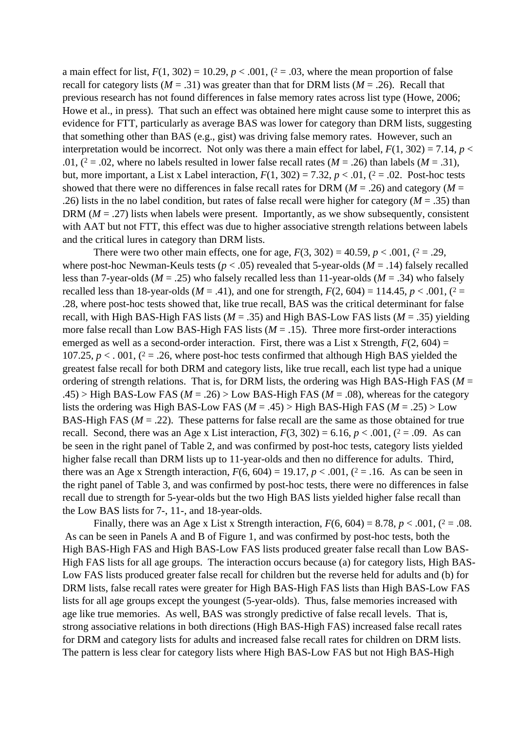a main effect for list,  $F(1, 302) = 10.29$ ,  $p < .001$ ,  $(2 = .03)$ , where the mean proportion of false recall for category lists ( $M = .31$ ) was greater than that for DRM lists ( $M = .26$ ). Recall that previous research has not found differences in false memory rates across list type (Howe, 2006; Howe et al., in press). That such an effect was obtained here might cause some to interpret this as evidence for FTT, particularly as average BAS was lower for category than DRM lists, suggesting that something other than BAS (e.g., gist) was driving false memory rates. However, such an interpretation would be incorrect. Not only was there a main effect for label,  $F(1, 302) = 7.14$ ,  $p <$ .01,  $(^{2} = .02$ , where no labels resulted in lower false recall rates ( $M = .26$ ) than labels ( $M = .31$ ), but, more important, a List x Label interaction,  $F(1, 302) = 7.32$ ,  $p < .01$ ,  $(2 = .02$ . Post-hoc tests showed that there were no differences in false recall rates for DRM ( $M = .26$ ) and category ( $M =$ .26) lists in the no label condition, but rates of false recall were higher for category ( $M = .35$ ) than DRM  $(M = .27)$  lists when labels were present. Importantly, as we show subsequently, consistent with AAT but not FTT, this effect was due to higher associative strength relations between labels and the critical lures in category than DRM lists.

There were two other main effects, one for age,  $F(3, 302) = 40.59$ ,  $p < .001$ ,  $(2 = .29)$ , where post-hoc Newman-Keuls tests (*p* < .05) revealed that 5-year-olds (*M* = .14) falsely recalled less than 7-year-olds (*M* = .25) who falsely recalled less than 11-year-olds (*M* = .34) who falsely recalled less than 18-year-olds ( $M = .41$ ), and one for strength,  $F(2, 604) = 114.45$ ,  $p < .001$ , ( $2 =$ .28, where post-hoc tests showed that, like true recall, BAS was the critical determinant for false recall, with High BAS-High FAS lists (*M* = .35) and High BAS-Low FAS lists (*M* = .35) yielding more false recall than Low BAS-High FAS lists  $(M = .15)$ . Three more first-order interactions emerged as well as a second-order interaction. First, there was a List x Strength,  $F(2, 604) =$ 107.25,  $p < 0.001$ , ( $2 = 0.26$ , where post-hoc tests confirmed that although High BAS yielded the greatest false recall for both DRM and category lists, like true recall, each list type had a unique ordering of strength relations. That is, for DRM lists, the ordering was High BAS-High FAS ( $M =$ .45) > High BAS-Low FAS ( $M = .26$ ) > Low BAS-High FAS ( $M = .08$ ), whereas for the category lists the ordering was High BAS-Low FAS ( $M = .45$ ) > High BAS-High FAS ( $M = .25$ ) > Low BAS-High FAS ( $M = .22$ ). These patterns for false recall are the same as those obtained for true recall. Second, there was an Age x List interaction,  $F(3, 302) = 6.16$ ,  $p < .001$ ,  $(2 = .09$ . As can be seen in the right panel of Table 2, and was confirmed by post-hoc tests, category lists yielded higher false recall than DRM lists up to 11-year-olds and then no difference for adults. Third, there was an Age x Strength interaction,  $F(6, 604) = 19.17$ ,  $p < .001$ ,  $(2 = .16$ . As can be seen in the right panel of Table 3, and was confirmed by post-hoc tests, there were no differences in false recall due to strength for 5-year-olds but the two High BAS lists yielded higher false recall than the Low BAS lists for 7-, 11-, and 18-year-olds.

Finally, there was an Age x List x Strength interaction,  $F(6, 604) = 8.78$ ,  $p < .001$ ,  $(2 = .08$ . As can be seen in Panels A and B of Figure 1, and was confirmed by post-hoc tests, both the High BAS-High FAS and High BAS-Low FAS lists produced greater false recall than Low BAS-High FAS lists for all age groups. The interaction occurs because (a) for category lists, High BAS-Low FAS lists produced greater false recall for children but the reverse held for adults and (b) for DRM lists, false recall rates were greater for High BAS-High FAS lists than High BAS-Low FAS lists for all age groups except the youngest (5-year-olds). Thus, false memories increased with age like true memories. As well, BAS was strongly predictive of false recall levels. That is, strong associative relations in both directions (High BAS-High FAS) increased false recall rates for DRM and category lists for adults and increased false recall rates for children on DRM lists. The pattern is less clear for category lists where High BAS-Low FAS but not High BAS-High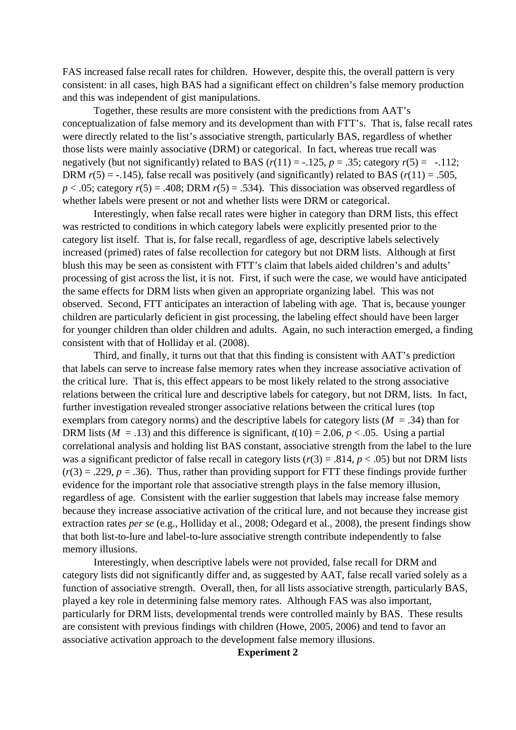FAS increased false recall rates for children. However, despite this, the overall pattern is very consistent: in all cases, high BAS had a significant effect on children's false memory production and this was independent of gist manipulations.

Together, these results are more consistent with the predictions from AAT's conceptualization of false memory and its development than with FTT's. That is, false recall rates were directly related to the list's associative strength, particularly BAS, regardless of whether those lists were mainly associative (DRM) or categorical. In fact, whereas true recall was negatively (but not significantly) related to BAS  $(r(11) = -.125, p = .35$ ; category  $r(5) = -.112$ ; DRM  $r(5) = -0.145$ , false recall was positively (and significantly) related to BAS ( $r(11) = 0.505$ ,  $p < .05$ ; category  $r(5) = .408$ ; DRM  $r(5) = .534$ ). This dissociation was observed regardless of whether labels were present or not and whether lists were DRM or categorical.

Interestingly, when false recall rates were higher in category than DRM lists, this effect was restricted to conditions in which category labels were explicitly presented prior to the category list itself. That is, for false recall, regardless of age, descriptive labels selectively increased (primed) rates of false recollection for category but not DRM lists. Although at first blush this may be seen as consistent with FTT's claim that labels aided children's and adults' processing of gist across the list, it is not. First, if such were the case, we would have anticipated the same effects for DRM lists when given an appropriate organizing label. This was not observed. Second, FTT anticipates an interaction of labeling with age. That is, because younger children are particularly deficient in gist processing, the labeling effect should have been larger for younger children than older children and adults. Again, no such interaction emerged, a finding consistent with that of Holliday et al. (2008).

Third, and finally, it turns out that that this finding is consistent with AAT's prediction that labels can serve to increase false memory rates when they increase associative activation of the critical lure. That is, this effect appears to be most likely related to the strong associative relations between the critical lure and descriptive labels for category, but not DRM, lists. In fact, further investigation revealed stronger associative relations between the critical lures (top exemplars from category norms) and the descriptive labels for category lists ( $M = .34$ ) than for DRM lists ( $M = .13$ ) and this difference is significant,  $t(10) = 2.06$ ,  $p < .05$ . Using a partial correlational analysis and holding list BAS constant, associative strength from the label to the lure was a significant predictor of false recall in category lists  $(r(3) = .814, p < .05)$  but not DRM lists  $(r(3) = .229, p = .36)$ . Thus, rather than providing support for FTT these findings provide further evidence for the important role that associative strength plays in the false memory illusion, regardless of age. Consistent with the earlier suggestion that labels may increase false memory because they increase associative activation of the critical lure, and not because they increase gist extraction rates *per se* (e.g., Holliday et al., 2008; Odegard et al., 2008), the present findings show that both list-to-lure and label-to-lure associative strength contribute independently to false memory illusions.

Interestingly, when descriptive labels were not provided, false recall for DRM and category lists did not significantly differ and, as suggested by AAT, false recall varied solely as a function of associative strength. Overall, then, for all lists associative strength, particularly BAS, played a key role in determining false memory rates. Although FAS was also important, particularly for DRM lists, developmental trends were controlled mainly by BAS. These results are consistent with previous findings with children (Howe, 2005, 2006) and tend to favor an associative activation approach to the development false memory illusions.

#### **Experiment 2**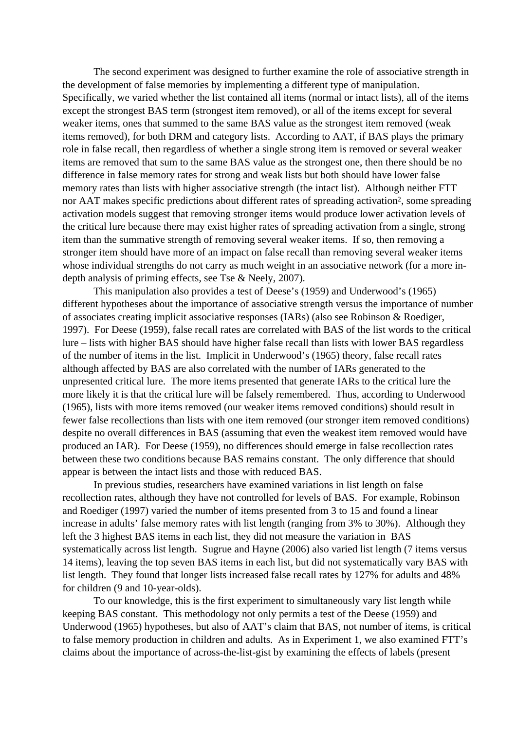The second experiment was designed to further examine the role of associative strength in the development of false memories by implementing a different type of manipulation. Specifically, we varied whether the list contained all items (normal or intact lists), all of the items except the strongest BAS term (strongest item removed), or all of the items except for several weaker items, ones that summed to the same BAS value as the strongest item removed (weak items removed), for both DRM and category lists. According to AAT, if BAS plays the primary role in false recall, then regardless of whether a single strong item is removed or several weaker items are removed that sum to the same BAS value as the strongest one, then there should be no difference in false memory rates for strong and weak lists but both should have lower false memory rates than lists with higher associative strength (the intact list). Although neither FTT nor AAT makes specific predictions about different rates of spreading activation<sup>2</sup>, some spreading activation models suggest that removing stronger items would produce lower activation levels of the critical lure because there may exist higher rates of spreading activation from a single, strong item than the summative strength of removing several weaker items. If so, then removing a stronger item should have more of an impact on false recall than removing several weaker items whose individual strengths do not carry as much weight in an associative network (for a more indepth analysis of priming effects, see Tse & Neely, 2007).

This manipulation also provides a test of Deese's (1959) and Underwood's (1965) different hypotheses about the importance of associative strength versus the importance of number of associates creating implicit associative responses (IARs) (also see Robinson & Roediger, 1997). For Deese (1959), false recall rates are correlated with BAS of the list words to the critical lure – lists with higher BAS should have higher false recall than lists with lower BAS regardless of the number of items in the list. Implicit in Underwood's (1965) theory, false recall rates although affected by BAS are also correlated with the number of IARs generated to the unpresented critical lure. The more items presented that generate IARs to the critical lure the more likely it is that the critical lure will be falsely remembered. Thus, according to Underwood (1965), lists with more items removed (our weaker items removed conditions) should result in fewer false recollections than lists with one item removed (our stronger item removed conditions) despite no overall differences in BAS (assuming that even the weakest item removed would have produced an IAR). For Deese (1959), no differences should emerge in false recollection rates between these two conditions because BAS remains constant. The only difference that should appear is between the intact lists and those with reduced BAS.

In previous studies, researchers have examined variations in list length on false recollection rates, although they have not controlled for levels of BAS. For example, Robinson and Roediger (1997) varied the number of items presented from 3 to 15 and found a linear increase in adults' false memory rates with list length (ranging from 3% to 30%). Although they left the 3 highest BAS items in each list, they did not measure the variation in BAS systematically across list length. Sugrue and Hayne (2006) also varied list length (7 items versus 14 items), leaving the top seven BAS items in each list, but did not systematically vary BAS with list length. They found that longer lists increased false recall rates by 127% for adults and 48% for children (9 and 10-year-olds).

To our knowledge, this is the first experiment to simultaneously vary list length while keeping BAS constant. This methodology not only permits a test of the Deese (1959) and Underwood (1965) hypotheses, but also of AAT's claim that BAS, not number of items, is critical to false memory production in children and adults. As in Experiment 1, we also examined FTT's claims about the importance of across-the-list-gist by examining the effects of labels (present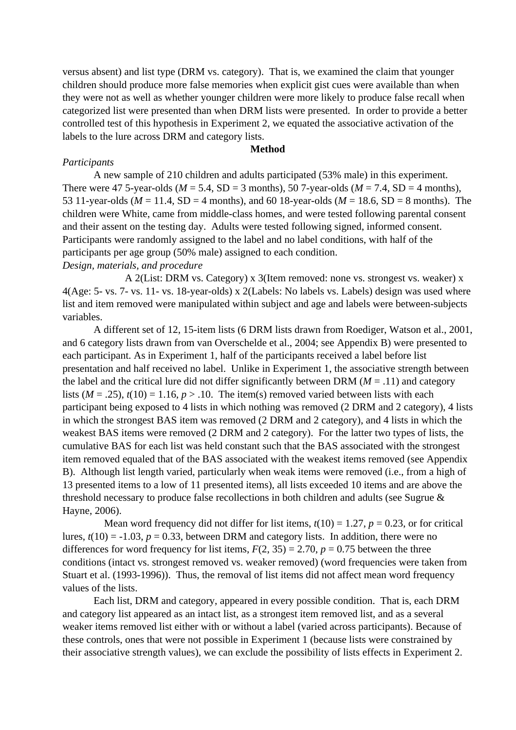versus absent) and list type (DRM vs. category). That is, we examined the claim that younger children should produce more false memories when explicit gist cues were available than when they were not as well as whether younger children were more likely to produce false recall when categorized list were presented than when DRM lists were presented. In order to provide a better controlled test of this hypothesis in Experiment 2, we equated the associative activation of the labels to the lure across DRM and category lists.

#### **Method**

#### *Participants*

 A new sample of 210 children and adults participated (53% male) in this experiment. There were 47 5-year-olds ( $M = 5.4$ , SD = 3 months), 50 7-year-olds ( $M = 7.4$ , SD = 4 months), 53 11-year-olds ( $M = 11.4$ , SD = 4 months), and 60 18-year-olds ( $M = 18.6$ , SD = 8 months). The children were White, came from middle-class homes, and were tested following parental consent and their assent on the testing day. Adults were tested following signed, informed consent. Participants were randomly assigned to the label and no label conditions, with half of the participants per age group (50% male) assigned to each condition.

#### *Design, materials, and procedure*

 A 2(List: DRM vs. Category) x 3(Item removed: none vs. strongest vs. weaker) x 4(Age: 5- vs. 7- vs. 11- vs. 18-year-olds) x 2(Labels: No labels vs. Labels) design was used where list and item removed were manipulated within subject and age and labels were between-subjects variables.

A different set of 12, 15-item lists (6 DRM lists drawn from Roediger, Watson et al., 2001, and 6 category lists drawn from van Overschelde et al., 2004; see Appendix B) were presented to each participant. As in Experiment 1, half of the participants received a label before list presentation and half received no label. Unlike in Experiment 1, the associative strength between the label and the critical lure did not differ significantly between DRM ( $M = .11$ ) and category lists ( $M = .25$ ),  $t(10) = 1.16$ ,  $p > .10$ . The item(s) removed varied between lists with each participant being exposed to 4 lists in which nothing was removed (2 DRM and 2 category), 4 lists in which the strongest BAS item was removed (2 DRM and 2 category), and 4 lists in which the weakest BAS items were removed (2 DRM and 2 category). For the latter two types of lists, the cumulative BAS for each list was held constant such that the BAS associated with the strongest item removed equaled that of the BAS associated with the weakest items removed (see Appendix B). Although list length varied, particularly when weak items were removed (i.e., from a high of 13 presented items to a low of 11 presented items), all lists exceeded 10 items and are above the threshold necessary to produce false recollections in both children and adults (see Sugrue & Hayne, 2006).

Mean word frequency did not differ for list items,  $t(10) = 1.27$ ,  $p = 0.23$ , or for critical lures,  $t(10) = -1.03$ ,  $p = 0.33$ , between DRM and category lists. In addition, there were no differences for word frequency for list items,  $F(2, 35) = 2.70$ ,  $p = 0.75$  between the three conditions (intact vs. strongest removed vs. weaker removed) (word frequencies were taken from Stuart et al. (1993-1996)). Thus, the removal of list items did not affect mean word frequency values of the lists.

Each list, DRM and category, appeared in every possible condition. That is, each DRM and category list appeared as an intact list, as a strongest item removed list, and as a several weaker items removed list either with or without a label (varied across participants). Because of these controls, ones that were not possible in Experiment 1 (because lists were constrained by their associative strength values), we can exclude the possibility of lists effects in Experiment 2.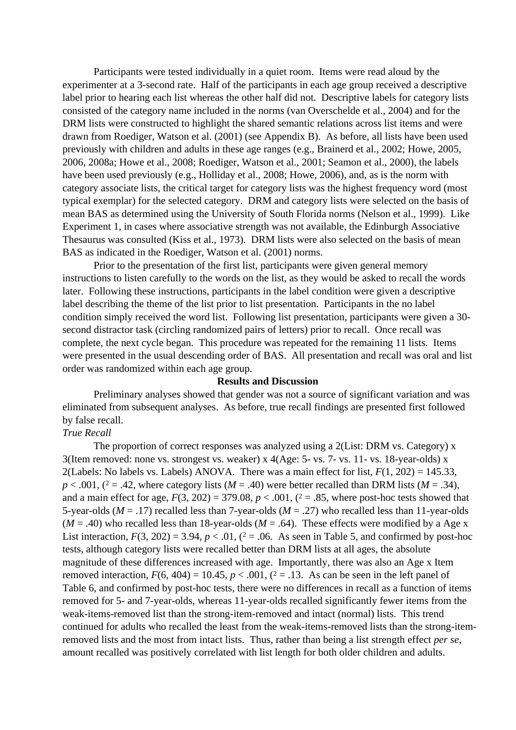Participants were tested individually in a quiet room. Items were read aloud by the experimenter at a 3-second rate. Half of the participants in each age group received a descriptive label prior to hearing each list whereas the other half did not. Descriptive labels for category lists consisted of the category name included in the norms (van Overschelde et al., 2004) and for the DRM lists were constructed to highlight the shared semantic relations across list items and were drawn from Roediger, Watson et al. (2001) (see Appendix B). As before, all lists have been used previously with children and adults in these age ranges (e.g., Brainerd et al., 2002; Howe, 2005, 2006, 2008a; Howe et al., 2008; Roediger, Watson et al., 2001; Seamon et al., 2000), the labels have been used previously (e.g., Holliday et al., 2008; Howe, 2006), and, as is the norm with category associate lists, the critical target for category lists was the highest frequency word (most typical exemplar) for the selected category. DRM and category lists were selected on the basis of mean BAS as determined using the University of South Florida norms (Nelson et al., 1999). Like Experiment 1, in cases where associative strength was not available, the Edinburgh Associative Thesaurus was consulted (Kiss et al., 1973). DRM lists were also selected on the basis of mean BAS as indicated in the Roediger, Watson et al. (2001) norms.

Prior to the presentation of the first list, participants were given general memory instructions to listen carefully to the words on the list, as they would be asked to recall the words later. Following these instructions, participants in the label condition were given a descriptive label describing the theme of the list prior to list presentation. Participants in the no label condition simply received the word list. Following list presentation, participants were given a 30 second distractor task (circling randomized pairs of letters) prior to recall. Once recall was complete, the next cycle began. This procedure was repeated for the remaining 11 lists. Items were presented in the usual descending order of BAS. All presentation and recall was oral and list order was randomized within each age group.

#### **Results and Discussion**

 Preliminary analyses showed that gender was not a source of significant variation and was eliminated from subsequent analyses. As before, true recall findings are presented first followed by false recall.

#### *True Recall*

 The proportion of correct responses was analyzed using a 2(List: DRM vs. Category) x 3(Item removed: none vs. strongest vs. weaker) x 4(Age: 5- vs. 7- vs. 11- vs. 18-year-olds) x 2(Labels: No labels vs. Labels) ANOVA. There was a main effect for list,  $F(1, 202) = 145.33$ ,  $p < .001$ , (<sup>2</sup> = .42, where category lists (*M* = .40) were better recalled than DRM lists (*M* = .34), and a main effect for age,  $F(3, 202) = 379.08$ ,  $p < .001$ ,  $(2 = .85)$ , where post-hoc tests showed that 5-year-olds (*M* = .17) recalled less than 7-year-olds (*M* = .27) who recalled less than 11-year-olds  $(M = .40)$  who recalled less than 18-year-olds  $(M = .64)$ . These effects were modified by a Age x List interaction,  $F(3, 202) = 3.94$ ,  $p < .01$ ,  $(2 = .06)$ . As seen in Table 5, and confirmed by post-hoc tests, although category lists were recalled better than DRM lists at all ages, the absolute magnitude of these differences increased with age. Importantly, there was also an Age x Item removed interaction,  $F(6, 404) = 10.45$ ,  $p < .001$ ,  $(2 = .13$ . As can be seen in the left panel of Table 6, and confirmed by post-hoc tests, there were no differences in recall as a function of items removed for 5- and 7-year-olds, whereas 11-year-olds recalled significantly fewer items from the weak-items-removed list than the strong-item-removed and intact (normal) lists. This trend continued for adults who recalled the least from the weak-items-removed lists than the strong-itemremoved lists and the most from intact lists. Thus, rather than being a list strength effect *per se*, amount recalled was positively correlated with list length for both older children and adults.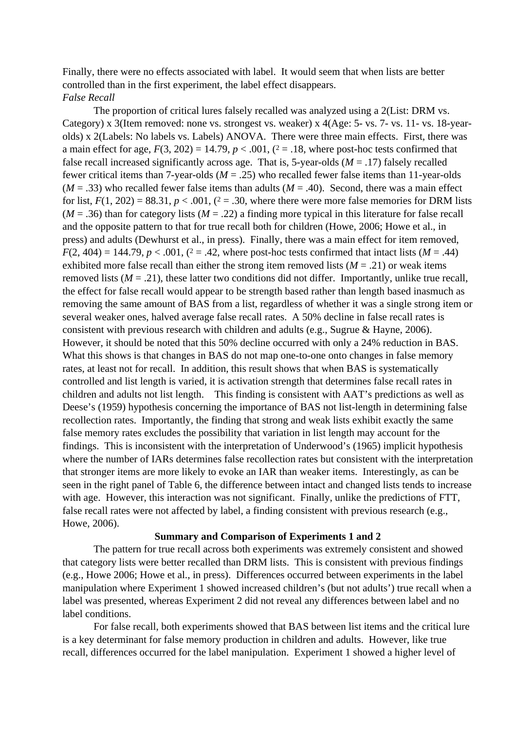Finally, there were no effects associated with label. It would seem that when lists are better controlled than in the first experiment, the label effect disappears. *False Recall*

 The proportion of critical lures falsely recalled was analyzed using a 2(List: DRM vs. Category) x 3(Item removed: none vs. strongest vs. weaker) x 4(Age: 5- vs. 7- vs. 11- vs. 18-yearolds) x 2(Labels: No labels vs. Labels) ANOVA. There were three main effects. First, there was a main effect for age,  $F(3, 202) = 14.79$ ,  $p < .001$ ,  $(2 = .18)$ , where post-hoc tests confirmed that false recall increased significantly across age. That is, 5-year-olds  $(M = .17)$  falsely recalled fewer critical items than 7-year-olds (*M* = .25) who recalled fewer false items than 11-year-olds  $(M = .33)$  who recalled fewer false items than adults  $(M = .40)$ . Second, there was a main effect for list,  $F(1, 202) = 88.31$ ,  $p < .001$ ,  $(2 = .30)$ , where there were more false memories for DRM lists  $(M = .36)$  than for category lists  $(M = .22)$  a finding more typical in this literature for false recall and the opposite pattern to that for true recall both for children (Howe, 2006; Howe et al., in press) and adults (Dewhurst et al., in press). Finally, there was a main effect for item removed,  $F(2, 404) = 144.79, p < .001, (2 = .42, \text{ where post-hoc tests confirmed that intact lists } (M = .44)$ exhibited more false recall than either the strong item removed lists  $(M = .21)$  or weak items removed lists  $(M = .21)$ , these latter two conditions did not differ. Importantly, unlike true recall, the effect for false recall would appear to be strength based rather than length based inasmuch as removing the same amount of BAS from a list, regardless of whether it was a single strong item or several weaker ones, halved average false recall rates. A 50% decline in false recall rates is consistent with previous research with children and adults (e.g., Sugrue & Hayne, 2006). However, it should be noted that this 50% decline occurred with only a 24% reduction in BAS. What this shows is that changes in BAS do not map one-to-one onto changes in false memory rates, at least not for recall. In addition, this result shows that when BAS is systematically controlled and list length is varied, it is activation strength that determines false recall rates in children and adults not list length. This finding is consistent with AAT's predictions as well as Deese's (1959) hypothesis concerning the importance of BAS not list-length in determining false recollection rates. Importantly, the finding that strong and weak lists exhibit exactly the same false memory rates excludes the possibility that variation in list length may account for the findings. This is inconsistent with the interpretation of Underwood's (1965) implicit hypothesis where the number of IARs determines false recollection rates but consistent with the interpretation that stronger items are more likely to evoke an IAR than weaker items. Interestingly, as can be seen in the right panel of Table 6, the difference between intact and changed lists tends to increase with age. However, this interaction was not significant. Finally, unlike the predictions of FTT, false recall rates were not affected by label, a finding consistent with previous research (e.g., Howe, 2006).

#### **Summary and Comparison of Experiments 1 and 2**

 The pattern for true recall across both experiments was extremely consistent and showed that category lists were better recalled than DRM lists. This is consistent with previous findings (e.g., Howe 2006; Howe et al., in press). Differences occurred between experiments in the label manipulation where Experiment 1 showed increased children's (but not adults') true recall when a label was presented, whereas Experiment 2 did not reveal any differences between label and no label conditions.

 For false recall, both experiments showed that BAS between list items and the critical lure is a key determinant for false memory production in children and adults. However, like true recall, differences occurred for the label manipulation. Experiment 1 showed a higher level of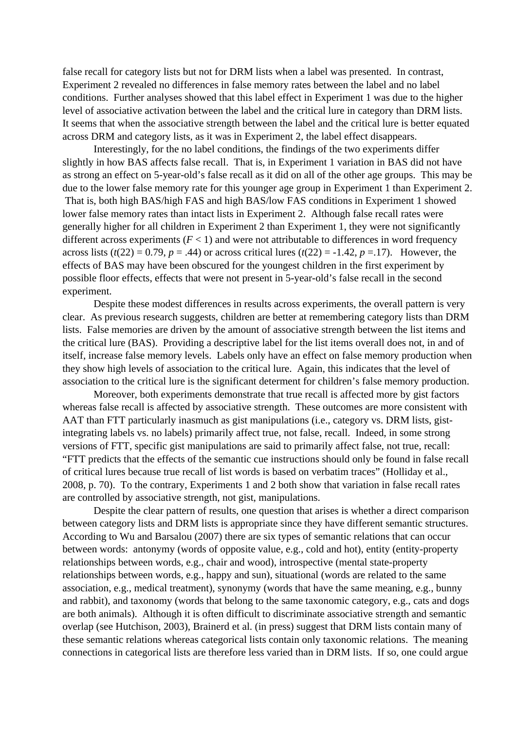false recall for category lists but not for DRM lists when a label was presented. In contrast, Experiment 2 revealed no differences in false memory rates between the label and no label conditions. Further analyses showed that this label effect in Experiment 1 was due to the higher level of associative activation between the label and the critical lure in category than DRM lists. It seems that when the associative strength between the label and the critical lure is better equated across DRM and category lists, as it was in Experiment 2, the label effect disappears.

Interestingly, for the no label conditions, the findings of the two experiments differ slightly in how BAS affects false recall. That is, in Experiment 1 variation in BAS did not have as strong an effect on 5-year-old's false recall as it did on all of the other age groups. This may be due to the lower false memory rate for this younger age group in Experiment 1 than Experiment 2. That is, both high BAS/high FAS and high BAS/low FAS conditions in Experiment 1 showed lower false memory rates than intact lists in Experiment 2. Although false recall rates were generally higher for all children in Experiment 2 than Experiment 1, they were not significantly different across experiments  $(F < 1)$  and were not attributable to differences in word frequency across lists  $(t(22) = 0.79, p = .44)$  or across critical lures  $(t(22) = -1.42, p = .17)$ . However, the effects of BAS may have been obscured for the youngest children in the first experiment by possible floor effects, effects that were not present in 5-year-old's false recall in the second experiment.

 Despite these modest differences in results across experiments, the overall pattern is very clear. As previous research suggests, children are better at remembering category lists than DRM lists. False memories are driven by the amount of associative strength between the list items and the critical lure (BAS). Providing a descriptive label for the list items overall does not, in and of itself, increase false memory levels. Labels only have an effect on false memory production when they show high levels of association to the critical lure. Again, this indicates that the level of association to the critical lure is the significant determent for children's false memory production.

 Moreover, both experiments demonstrate that true recall is affected more by gist factors whereas false recall is affected by associative strength. These outcomes are more consistent with AAT than FTT particularly inasmuch as gist manipulations (i.e., category vs. DRM lists, gistintegrating labels vs. no labels) primarily affect true, not false, recall. Indeed, in some strong versions of FTT, specific gist manipulations are said to primarily affect false, not true, recall: "FTT predicts that the effects of the semantic cue instructions should only be found in false recall of critical lures because true recall of list words is based on verbatim traces" (Holliday et al., 2008, p. 70). To the contrary, Experiments 1 and 2 both show that variation in false recall rates are controlled by associative strength, not gist, manipulations.

Despite the clear pattern of results, one question that arises is whether a direct comparison between category lists and DRM lists is appropriate since they have different semantic structures. According to Wu and Barsalou (2007) there are six types of semantic relations that can occur between words: antonymy (words of opposite value, e.g., cold and hot), entity (entity-property relationships between words, e.g., chair and wood), introspective (mental state-property relationships between words, e.g., happy and sun), situational (words are related to the same association, e.g., medical treatment), synonymy (words that have the same meaning, e.g., bunny and rabbit), and taxonomy (words that belong to the same taxonomic category, e.g., cats and dogs are both animals). Although it is often difficult to discriminate associative strength and semantic overlap (see Hutchison, 2003), Brainerd et al. (in press) suggest that DRM lists contain many of these semantic relations whereas categorical lists contain only taxonomic relations. The meaning connections in categorical lists are therefore less varied than in DRM lists. If so, one could argue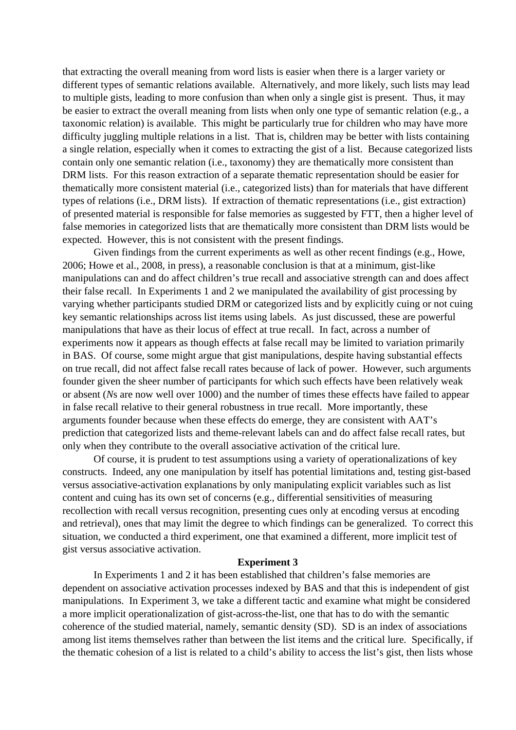that extracting the overall meaning from word lists is easier when there is a larger variety or different types of semantic relations available. Alternatively, and more likely, such lists may lead to multiple gists, leading to more confusion than when only a single gist is present. Thus, it may be easier to extract the overall meaning from lists when only one type of semantic relation (e.g., a taxonomic relation) is available. This might be particularly true for children who may have more difficulty juggling multiple relations in a list. That is, children may be better with lists containing a single relation, especially when it comes to extracting the gist of a list. Because categorized lists contain only one semantic relation (i.e., taxonomy) they are thematically more consistent than DRM lists. For this reason extraction of a separate thematic representation should be easier for thematically more consistent material (i.e., categorized lists) than for materials that have different types of relations (i.e., DRM lists). If extraction of thematic representations (i.e., gist extraction) of presented material is responsible for false memories as suggested by FTT, then a higher level of false memories in categorized lists that are thematically more consistent than DRM lists would be expected. However, this is not consistent with the present findings.

 Given findings from the current experiments as well as other recent findings (e.g., Howe, 2006; Howe et al., 2008, in press), a reasonable conclusion is that at a minimum, gist-like manipulations can and do affect children's true recall and associative strength can and does affect their false recall. In Experiments 1 and 2 we manipulated the availability of gist processing by varying whether participants studied DRM or categorized lists and by explicitly cuing or not cuing key semantic relationships across list items using labels. As just discussed, these are powerful manipulations that have as their locus of effect at true recall. In fact, across a number of experiments now it appears as though effects at false recall may be limited to variation primarily in BAS. Of course, some might argue that gist manipulations, despite having substantial effects on true recall, did not affect false recall rates because of lack of power. However, such arguments founder given the sheer number of participants for which such effects have been relatively weak or absent (*N*s are now well over 1000) and the number of times these effects have failed to appear in false recall relative to their general robustness in true recall. More importantly, these arguments founder because when these effects do emerge, they are consistent with AAT's prediction that categorized lists and theme-relevant labels can and do affect false recall rates, but only when they contribute to the overall associative activation of the critical lure.

Of course, it is prudent to test assumptions using a variety of operationalizations of key constructs. Indeed, any one manipulation by itself has potential limitations and, testing gist-based versus associative-activation explanations by only manipulating explicit variables such as list content and cuing has its own set of concerns (e.g., differential sensitivities of measuring recollection with recall versus recognition, presenting cues only at encoding versus at encoding and retrieval), ones that may limit the degree to which findings can be generalized. To correct this situation, we conducted a third experiment, one that examined a different, more implicit test of gist versus associative activation.

#### **Experiment 3**

In Experiments 1 and 2 it has been established that children's false memories are dependent on associative activation processes indexed by BAS and that this is independent of gist manipulations. In Experiment 3, we take a different tactic and examine what might be considered a more implicit operationalization of gist-across-the-list, one that has to do with the semantic coherence of the studied material, namely, semantic density (SD). SD is an index of associations among list items themselves rather than between the list items and the critical lure. Specifically, if the thematic cohesion of a list is related to a child's ability to access the list's gist, then lists whose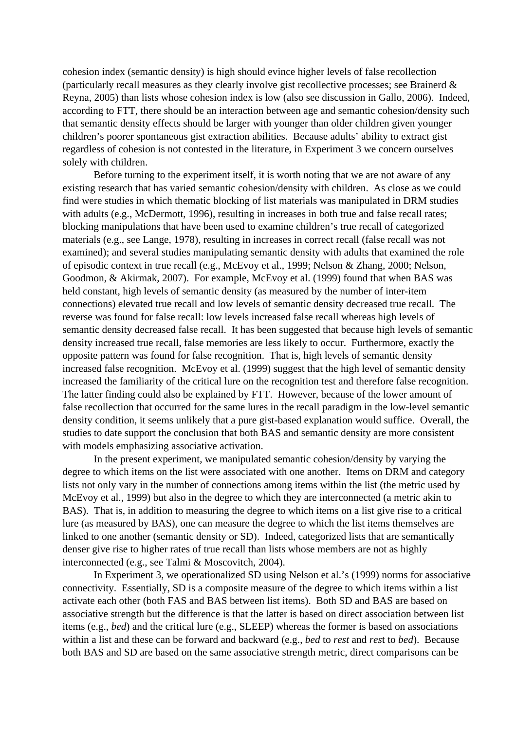cohesion index (semantic density) is high should evince higher levels of false recollection (particularly recall measures as they clearly involve gist recollective processes; see Brainerd & Reyna, 2005) than lists whose cohesion index is low (also see discussion in Gallo, 2006). Indeed, according to FTT, there should be an interaction between age and semantic cohesion/density such that semantic density effects should be larger with younger than older children given younger children's poorer spontaneous gist extraction abilities. Because adults' ability to extract gist regardless of cohesion is not contested in the literature, in Experiment 3 we concern ourselves solely with children.

 Before turning to the experiment itself, it is worth noting that we are not aware of any existing research that has varied semantic cohesion/density with children. As close as we could find were studies in which thematic blocking of list materials was manipulated in DRM studies with adults (e.g., McDermott, 1996), resulting in increases in both true and false recall rates; blocking manipulations that have been used to examine children's true recall of categorized materials (e.g., see Lange, 1978), resulting in increases in correct recall (false recall was not examined); and several studies manipulating semantic density with adults that examined the role of episodic context in true recall (e.g., McEvoy et al., 1999; Nelson & Zhang, 2000; Nelson, Goodmon, & Akirmak, 2007). For example, McEvoy et al. (1999) found that when BAS was held constant, high levels of semantic density (as measured by the number of inter-item connections) elevated true recall and low levels of semantic density decreased true recall. The reverse was found for false recall: low levels increased false recall whereas high levels of semantic density decreased false recall. It has been suggested that because high levels of semantic density increased true recall, false memories are less likely to occur. Furthermore, exactly the opposite pattern was found for false recognition. That is, high levels of semantic density increased false recognition. McEvoy et al. (1999) suggest that the high level of semantic density increased the familiarity of the critical lure on the recognition test and therefore false recognition. The latter finding could also be explained by FTT. However, because of the lower amount of false recollection that occurred for the same lures in the recall paradigm in the low-level semantic density condition, it seems unlikely that a pure gist-based explanation would suffice. Overall, the studies to date support the conclusion that both BAS and semantic density are more consistent with models emphasizing associative activation.

In the present experiment, we manipulated semantic cohesion/density by varying the degree to which items on the list were associated with one another. Items on DRM and category lists not only vary in the number of connections among items within the list (the metric used by McEvoy et al., 1999) but also in the degree to which they are interconnected (a metric akin to BAS). That is, in addition to measuring the degree to which items on a list give rise to a critical lure (as measured by BAS), one can measure the degree to which the list items themselves are linked to one another (semantic density or SD). Indeed, categorized lists that are semantically denser give rise to higher rates of true recall than lists whose members are not as highly interconnected (e.g., see Talmi & Moscovitch, 2004).

In Experiment 3, we operationalized SD using Nelson et al.'s (1999) norms for associative connectivity. Essentially, SD is a composite measure of the degree to which items within a list activate each other (both FAS and BAS between list items). Both SD and BAS are based on associative strength but the difference is that the latter is based on direct association between list items (e.g., *bed*) and the critical lure (e.g., SLEEP) whereas the former is based on associations within a list and these can be forward and backward (e.g., *bed* to *rest* and *res*t to *bed*). Because both BAS and SD are based on the same associative strength metric, direct comparisons can be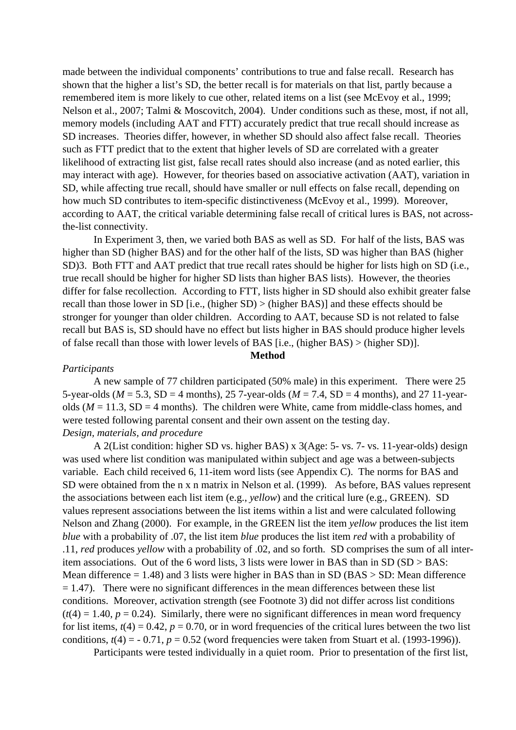made between the individual components' contributions to true and false recall. Research has shown that the higher a list's SD, the better recall is for materials on that list, partly because a remembered item is more likely to cue other, related items on a list (see McEvoy et al., 1999; Nelson et al., 2007; Talmi & Moscovitch, 2004). Under conditions such as these, most, if not all, memory models (including AAT and FTT) accurately predict that true recall should increase as SD increases. Theories differ, however, in whether SD should also affect false recall. Theories such as FTT predict that to the extent that higher levels of SD are correlated with a greater likelihood of extracting list gist, false recall rates should also increase (and as noted earlier, this may interact with age). However, for theories based on associative activation (AAT), variation in SD, while affecting true recall, should have smaller or null effects on false recall, depending on how much SD contributes to item-specific distinctiveness (McEvoy et al., 1999). Moreover, according to AAT, the critical variable determining false recall of critical lures is BAS, not acrossthe-list connectivity.

In Experiment 3, then, we varied both BAS as well as SD. For half of the lists, BAS was higher than SD (higher BAS) and for the other half of the lists, SD was higher than BAS (higher SD)3. Both FTT and AAT predict that true recall rates should be higher for lists high on SD (i.e., true recall should be higher for higher SD lists than higher BAS lists). However, the theories differ for false recollection. According to FTT, lists higher in SD should also exhibit greater false recall than those lower in SD [i.e., (higher SD) > (higher BAS)] and these effects should be stronger for younger than older children. According to AAT, because SD is not related to false recall but BAS is, SD should have no effect but lists higher in BAS should produce higher levels of false recall than those with lower levels of BAS [i.e., (higher BAS) > (higher SD)].

#### **Method**

#### *Participants*

A new sample of 77 children participated (50% male) in this experiment. There were 25 5-year-olds (*M* = 5.3, SD = 4 months), 25 7-year-olds (*M* = 7.4, SD = 4 months), and 27 11-yearolds  $(M = 11.3, SD = 4$  months). The children were White, came from middle-class homes, and were tested following parental consent and their own assent on the testing day. *Design, materials, and procedure*

A 2(List condition: higher SD vs. higher BAS) x 3(Age: 5- vs. 7- vs. 11-year-olds) design was used where list condition was manipulated within subject and age was a between-subjects variable. Each child received 6, 11-item word lists (see Appendix C). The norms for BAS and SD were obtained from the n x n matrix in Nelson et al. (1999). As before, BAS values represent the associations between each list item (e.g., *yellow*) and the critical lure (e.g., GREEN). SD values represent associations between the list items within a list and were calculated following Nelson and Zhang (2000). For example, in the GREEN list the item *yellow* produces the list item *blue* with a probability of .07, the list item *blue* produces the list item *red* with a probability of .11, *red* produces *yellow* with a probability of .02, and so forth. SD comprises the sum of all interitem associations. Out of the 6 word lists, 3 lists were lower in BAS than in SD (SD > BAS: Mean difference  $= 1.48$ ) and 3 lists were higher in BAS than in SD (BAS  $>$  SD: Mean difference  $= 1.47$ ). There were no significant differences in the mean differences between these list conditions. Moreover, activation strength (see Footnote 3) did not differ across list conditions  $(t(4) = 1.40, p = 0.24)$ . Similarly, there were no significant differences in mean word frequency for list items,  $t(4) = 0.42$ ,  $p = 0.70$ , or in word frequencies of the critical lures between the two list conditions,  $t(4) = -0.71$ ,  $p = 0.52$  (word frequencies were taken from Stuart et al. (1993-1996)).

Participants were tested individually in a quiet room. Prior to presentation of the first list,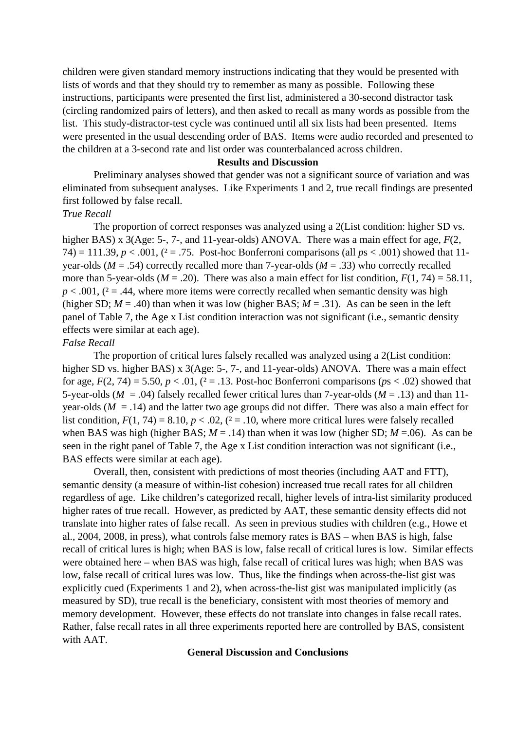children were given standard memory instructions indicating that they would be presented with lists of words and that they should try to remember as many as possible. Following these instructions, participants were presented the first list, administered a 30-second distractor task (circling randomized pairs of letters), and then asked to recall as many words as possible from the list. This study-distractor-test cycle was continued until all six lists had been presented. Items were presented in the usual descending order of BAS. Items were audio recorded and presented to the children at a 3-second rate and list order was counterbalanced across children.

#### **Results and Discussion**

 Preliminary analyses showed that gender was not a significant source of variation and was eliminated from subsequent analyses. Like Experiments 1 and 2, true recall findings are presented first followed by false recall.

#### *True Recall*

The proportion of correct responses was analyzed using a 2(List condition: higher SD vs. higher BAS) x 3(Age: 5-, 7-, and 11-year-olds) ANOVA. There was a main effect for age,  $F(2, \theta)$ 74) = 111.39,  $p < .001$ , ( $2 = .75$ . Post-hoc Bonferroni comparisons (all  $ps < .001$ ) showed that 11year-olds (*M* = .54) correctly recalled more than 7-year-olds (*M* = .33) who correctly recalled more than 5-year-olds ( $M = .20$ ). There was also a main effect for list condition,  $F(1, 74) = 58.11$ ,  $p < .001$ ,  $(2 = .44)$ , where more items were correctly recalled when semantic density was high (higher SD;  $M = .40$ ) than when it was low (higher BAS;  $M = .31$ ). As can be seen in the left panel of Table 7, the Age x List condition interaction was not significant (i.e., semantic density effects were similar at each age).

#### *False Recall*

The proportion of critical lures falsely recalled was analyzed using a 2(List condition: higher SD vs. higher BAS) x 3(Age: 5-, 7-, and 11-year-olds) ANOVA. There was a main effect for age,  $F(2, 74) = 5.50$ ,  $p < .01$ ,  $(2 = .13$ . Post-hoc Bonferroni comparisons ( $ps < .02$ ) showed that 5-year-olds (*M* = .04) falsely recalled fewer critical lures than 7-year-olds (*M* = .13) and than 11 year-olds ( $M = .14$ ) and the latter two age groups did not differ. There was also a main effect for list condition,  $F(1, 74) = 8.10$ ,  $p < .02$ ,  $(2 = .10)$ , where more critical lures were falsely recalled when BAS was high (higher BAS;  $M = .14$ ) than when it was low (higher SD;  $M = .06$ ). As can be seen in the right panel of Table 7, the Age x List condition interaction was not significant (i.e., BAS effects were similar at each age).

Overall, then, consistent with predictions of most theories (including AAT and FTT), semantic density (a measure of within-list cohesion) increased true recall rates for all children regardless of age. Like children's categorized recall, higher levels of intra-list similarity produced higher rates of true recall. However, as predicted by AAT, these semantic density effects did not translate into higher rates of false recall. As seen in previous studies with children (e.g., Howe et al., 2004, 2008, in press), what controls false memory rates is BAS – when BAS is high, false recall of critical lures is high; when BAS is low, false recall of critical lures is low. Similar effects were obtained here – when BAS was high, false recall of critical lures was high; when BAS was low, false recall of critical lures was low. Thus, like the findings when across-the-list gist was explicitly cued (Experiments 1 and 2), when across-the-list gist was manipulated implicitly (as measured by SD), true recall is the beneficiary, consistent with most theories of memory and memory development. However, these effects do not translate into changes in false recall rates. Rather, false recall rates in all three experiments reported here are controlled by BAS, consistent with AAT.

#### **General Discussion and Conclusions**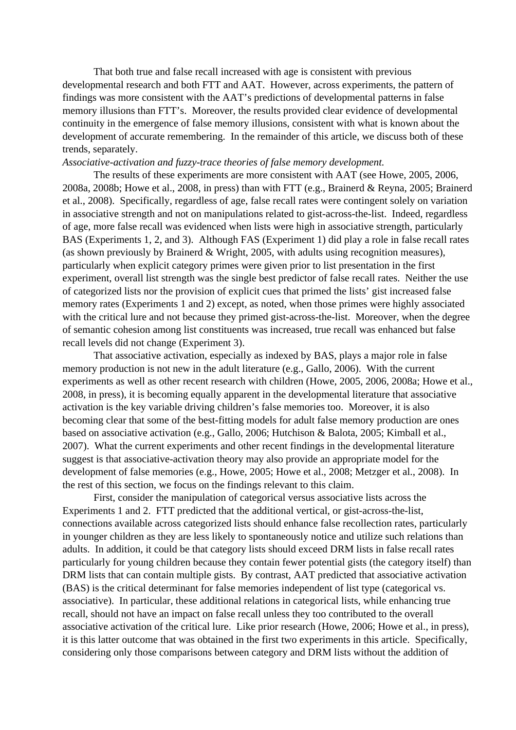That both true and false recall increased with age is consistent with previous developmental research and both FTT and AAT. However, across experiments, the pattern of findings was more consistent with the AAT's predictions of developmental patterns in false memory illusions than FTT's. Moreover, the results provided clear evidence of developmental continuity in the emergence of false memory illusions, consistent with what is known about the development of accurate remembering. In the remainder of this article, we discuss both of these trends, separately.

#### *Associative-activation and fuzzy-trace theories of false memory development.*

 The results of these experiments are more consistent with AAT (see Howe, 2005, 2006, 2008a, 2008b; Howe et al., 2008, in press) than with FTT (e.g., Brainerd & Reyna, 2005; Brainerd et al., 2008). Specifically, regardless of age, false recall rates were contingent solely on variation in associative strength and not on manipulations related to gist-across-the-list. Indeed, regardless of age, more false recall was evidenced when lists were high in associative strength, particularly BAS (Experiments 1, 2, and 3). Although FAS (Experiment 1) did play a role in false recall rates (as shown previously by Brainerd & Wright, 2005, with adults using recognition measures), particularly when explicit category primes were given prior to list presentation in the first experiment, overall list strength was the single best predictor of false recall rates. Neither the use of categorized lists nor the provision of explicit cues that primed the lists' gist increased false memory rates (Experiments 1 and 2) except, as noted, when those primes were highly associated with the critical lure and not because they primed gist-across-the-list. Moreover, when the degree of semantic cohesion among list constituents was increased, true recall was enhanced but false recall levels did not change (Experiment 3).

 That associative activation, especially as indexed by BAS, plays a major role in false memory production is not new in the adult literature (e.g., Gallo, 2006). With the current experiments as well as other recent research with children (Howe, 2005, 2006, 2008a; Howe et al., 2008, in press), it is becoming equally apparent in the developmental literature that associative activation is the key variable driving children's false memories too. Moreover, it is also becoming clear that some of the best-fitting models for adult false memory production are ones based on associative activation (e.g., Gallo, 2006; Hutchison & Balota, 2005; Kimball et al., 2007). What the current experiments and other recent findings in the developmental literature suggest is that associative-activation theory may also provide an appropriate model for the development of false memories (e.g., Howe, 2005; Howe et al., 2008; Metzger et al., 2008). In the rest of this section, we focus on the findings relevant to this claim.

 First, consider the manipulation of categorical versus associative lists across the Experiments 1 and 2. FTT predicted that the additional vertical, or gist-across-the-list, connections available across categorized lists should enhance false recollection rates, particularly in younger children as they are less likely to spontaneously notice and utilize such relations than adults. In addition, it could be that category lists should exceed DRM lists in false recall rates particularly for young children because they contain fewer potential gists (the category itself) than DRM lists that can contain multiple gists. By contrast, AAT predicted that associative activation (BAS) is the critical determinant for false memories independent of list type (categorical vs. associative). In particular, these additional relations in categorical lists, while enhancing true recall, should not have an impact on false recall unless they too contributed to the overall associative activation of the critical lure. Like prior research (Howe, 2006; Howe et al., in press), it is this latter outcome that was obtained in the first two experiments in this article. Specifically, considering only those comparisons between category and DRM lists without the addition of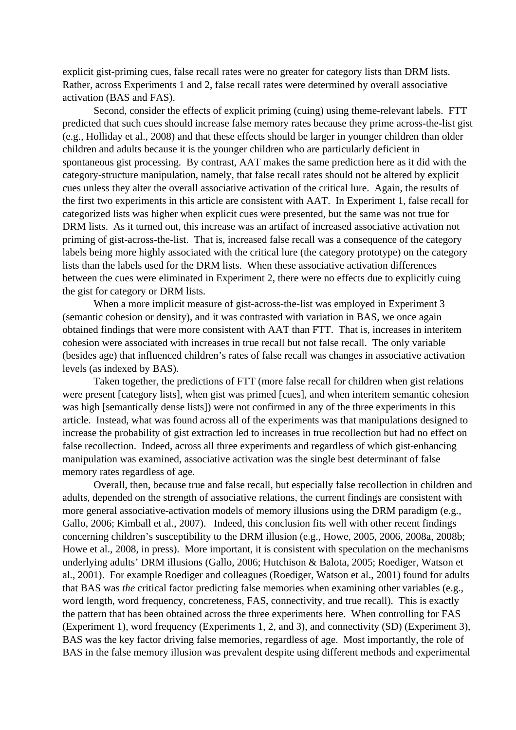explicit gist-priming cues, false recall rates were no greater for category lists than DRM lists. Rather, across Experiments 1 and 2, false recall rates were determined by overall associative activation (BAS and FAS).

 Second, consider the effects of explicit priming (cuing) using theme-relevant labels. FTT predicted that such cues should increase false memory rates because they prime across-the-list gist (e.g., Holliday et al., 2008) and that these effects should be larger in younger children than older children and adults because it is the younger children who are particularly deficient in spontaneous gist processing. By contrast, AAT makes the same prediction here as it did with the category-structure manipulation, namely, that false recall rates should not be altered by explicit cues unless they alter the overall associative activation of the critical lure. Again, the results of the first two experiments in this article are consistent with AAT. In Experiment 1, false recall for categorized lists was higher when explicit cues were presented, but the same was not true for DRM lists. As it turned out, this increase was an artifact of increased associative activation not priming of gist-across-the-list. That is, increased false recall was a consequence of the category labels being more highly associated with the critical lure (the category prototype) on the category lists than the labels used for the DRM lists. When these associative activation differences between the cues were eliminated in Experiment 2, there were no effects due to explicitly cuing the gist for category or DRM lists.

 When a more implicit measure of gist-across-the-list was employed in Experiment 3 (semantic cohesion or density), and it was contrasted with variation in BAS, we once again obtained findings that were more consistent with AAT than FTT. That is, increases in interitem cohesion were associated with increases in true recall but not false recall. The only variable (besides age) that influenced children's rates of false recall was changes in associative activation levels (as indexed by BAS).

 Taken together, the predictions of FTT (more false recall for children when gist relations were present [category lists], when gist was primed [cues], and when interitem semantic cohesion was high [semantically dense lists]) were not confirmed in any of the three experiments in this article. Instead, what was found across all of the experiments was that manipulations designed to increase the probability of gist extraction led to increases in true recollection but had no effect on false recollection. Indeed, across all three experiments and regardless of which gist-enhancing manipulation was examined, associative activation was the single best determinant of false memory rates regardless of age.

Overall, then, because true and false recall, but especially false recollection in children and adults, depended on the strength of associative relations, the current findings are consistent with more general associative-activation models of memory illusions using the DRM paradigm (e.g., Gallo, 2006; Kimball et al., 2007). Indeed, this conclusion fits well with other recent findings concerning children's susceptibility to the DRM illusion (e.g., Howe, 2005, 2006, 2008a, 2008b; Howe et al., 2008, in press). More important, it is consistent with speculation on the mechanisms underlying adults' DRM illusions (Gallo, 2006; Hutchison & Balota, 2005; Roediger, Watson et al., 2001). For example Roediger and colleagues (Roediger, Watson et al., 2001) found for adults that BAS was *the* critical factor predicting false memories when examining other variables (e.g., word length, word frequency, concreteness, FAS, connectivity, and true recall). This is exactly the pattern that has been obtained across the three experiments here. When controlling for FAS (Experiment 1), word frequency (Experiments 1, 2, and 3), and connectivity (SD) (Experiment 3), BAS was the key factor driving false memories, regardless of age. Most importantly, the role of BAS in the false memory illusion was prevalent despite using different methods and experimental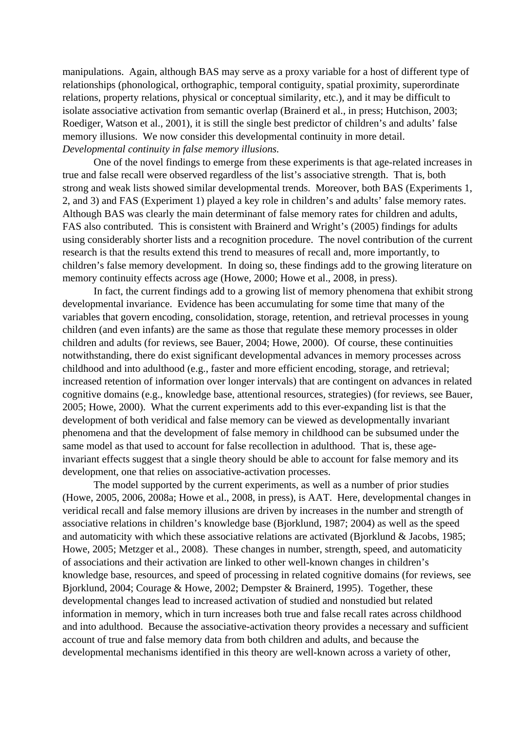manipulations. Again, although BAS may serve as a proxy variable for a host of different type of relationships (phonological, orthographic, temporal contiguity, spatial proximity, superordinate relations, property relations, physical or conceptual similarity, etc.), and it may be difficult to isolate associative activation from semantic overlap (Brainerd et al., in press; Hutchison, 2003; Roediger, Watson et al., 2001), it is still the single best predictor of children's and adults' false memory illusions. We now consider this developmental continuity in more detail. *Developmental continuity in false memory illusions.*

One of the novel findings to emerge from these experiments is that age-related increases in true and false recall were observed regardless of the list's associative strength. That is, both strong and weak lists showed similar developmental trends. Moreover, both BAS (Experiments 1, 2, and 3) and FAS (Experiment 1) played a key role in children's and adults' false memory rates. Although BAS was clearly the main determinant of false memory rates for children and adults, FAS also contributed. This is consistent with Brainerd and Wright's (2005) findings for adults using considerably shorter lists and a recognition procedure. The novel contribution of the current research is that the results extend this trend to measures of recall and, more importantly, to children's false memory development. In doing so, these findings add to the growing literature on memory continuity effects across age (Howe, 2000; Howe et al., 2008, in press).

In fact, the current findings add to a growing list of memory phenomena that exhibit strong developmental invariance. Evidence has been accumulating for some time that many of the variables that govern encoding, consolidation, storage, retention, and retrieval processes in young children (and even infants) are the same as those that regulate these memory processes in older children and adults (for reviews, see Bauer, 2004; Howe, 2000). Of course, these continuities notwithstanding, there do exist significant developmental advances in memory processes across childhood and into adulthood (e.g., faster and more efficient encoding, storage, and retrieval; increased retention of information over longer intervals) that are contingent on advances in related cognitive domains (e.g., knowledge base, attentional resources, strategies) (for reviews, see Bauer, 2005; Howe, 2000). What the current experiments add to this ever-expanding list is that the development of both veridical and false memory can be viewed as developmentally invariant phenomena and that the development of false memory in childhood can be subsumed under the same model as that used to account for false recollection in adulthood. That is, these ageinvariant effects suggest that a single theory should be able to account for false memory and its development, one that relies on associative-activation processes.

The model supported by the current experiments, as well as a number of prior studies (Howe, 2005, 2006, 2008a; Howe et al., 2008, in press), is AAT. Here, developmental changes in veridical recall and false memory illusions are driven by increases in the number and strength of associative relations in children's knowledge base (Bjorklund, 1987; 2004) as well as the speed and automaticity with which these associative relations are activated (Bjorklund & Jacobs, 1985; Howe, 2005; Metzger et al., 2008). These changes in number, strength, speed, and automaticity of associations and their activation are linked to other well-known changes in children's knowledge base, resources, and speed of processing in related cognitive domains (for reviews, see Bjorklund, 2004; Courage & Howe, 2002; Dempster & Brainerd, 1995). Together, these developmental changes lead to increased activation of studied and nonstudied but related information in memory, which in turn increases both true and false recall rates across childhood and into adulthood. Because the associative-activation theory provides a necessary and sufficient account of true and false memory data from both children and adults, and because the developmental mechanisms identified in this theory are well-known across a variety of other,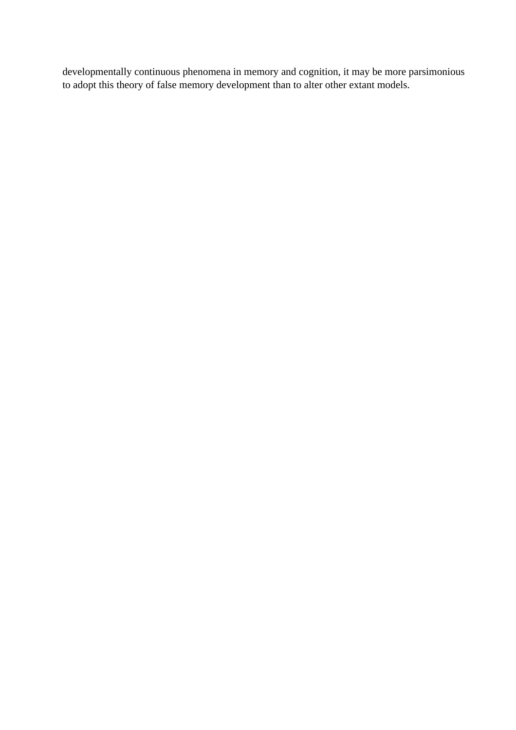developmentally continuous phenomena in memory and cognition, it may be more parsimonious to adopt this theory of false memory development than to alter other extant models.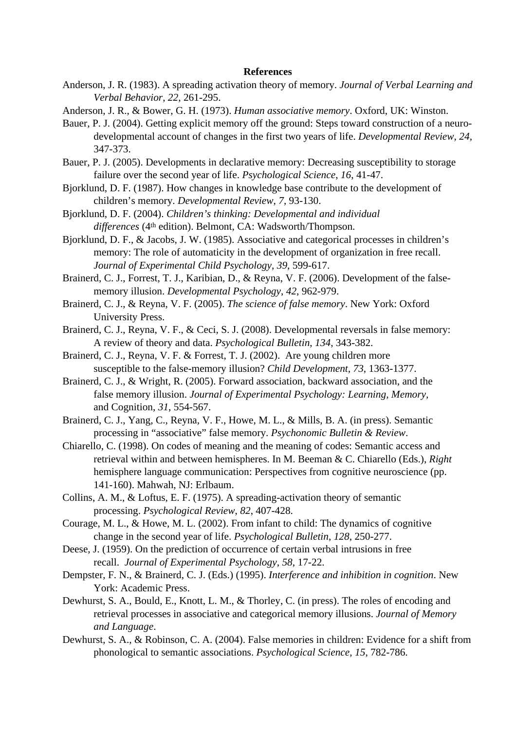#### **References**

Anderson, J. R. (1983). A spreading activation theory of memory. *Journal of Verbal Learning and Verbal Behavior*, *22*, 261-295.

Anderson, J. R., & Bower, G. H. (1973). *Human associative memory*. Oxford, UK: Winston.

- Bauer, P. J. (2004). Getting explicit memory off the ground: Steps toward construction of a neurodevelopmental account of changes in the first two years of life. *Developmental Review*, *24*, 347-373.
- Bauer, P. J. (2005). Developments in declarative memory: Decreasing susceptibility to storage failure over the second year of life. *Psychological Science*, *16*, 41-47.
- Bjorklund, D. F. (1987). How changes in knowledge base contribute to the development of children's memory. *Developmental Review*, *7*, 93-130.
- Bjorklund, D. F. (2004). *Children's thinking: Developmental and individual* differences (4<sup>th</sup> edition). Belmont, CA: Wadsworth/Thompson.
- Bjorklund, D. F., & Jacobs, J. W. (1985). Associative and categorical processes in children's memory: The role of automaticity in the development of organization in free recall. *Journal of Experimental Child Psychology*, *39*, 599-617.
- Brainerd, C. J., Forrest, T. J., Karibian, D., & Reyna, V. F. (2006). Development of the falsememory illusion. *Developmental Psychology*, *42*, 962-979.
- Brainerd, C. J., & Reyna, V. F. (2005). *The science of false memory*. New York: Oxford University Press.
- Brainerd, C. J., Reyna, V. F., & Ceci, S. J. (2008). Developmental reversals in false memory: A review of theory and data. *Psychological Bulletin*, *134*, 343-382.
- Brainerd, C. J., Reyna, V. F. & Forrest, T. J. (2002). Are young children more susceptible to the false-memory illusion? *Child Development, 73*, 1363-1377.
- Brainerd, C. J., & Wright, R. (2005). Forward association, backward association, and the false memory illusion. *Journal of Experimental Psychology: Learning, Memory,* and Cognition, *31*, 554-567.
- Brainerd, C. J., Yang, C., Reyna, V. F., Howe, M. L., & Mills, B. A. (in press). Semantic processing in "associative" false memory. *Psychonomic Bulletin & Review*.
- Chiarello, C. (1998). On codes of meaning and the meaning of codes: Semantic access and retrieval within and between hemispheres. In M. Beeman & C. Chiarello (Eds.), *Right* hemisphere language communication: Perspectives from cognitive neuroscience (pp. 141-160). Mahwah, NJ: Erlbaum.
- Collins, A. M., & Loftus, E. F. (1975). A spreading-activation theory of semantic processing. *Psychological Review*, *82*, 407-428.
- Courage, M. L., & Howe, M. L. (2002). From infant to child: The dynamics of cognitive change in the second year of life. *Psychological Bulletin*, *128*, 250-277.
- Deese, J. (1959). On the prediction of occurrence of certain verbal intrusions in free recall. *Journal of Experimental Psychology*, *58*, 17-22.
- Dempster, F. N., & Brainerd, C. J. (Eds.) (1995). *Interference and inhibition in cognition*. New York: Academic Press.
- Dewhurst, S. A., Bould, E., Knott, L. M., & Thorley, C. (in press). The roles of encoding and retrieval processes in associative and categorical memory illusions. *Journal of Memory and Language*.
- Dewhurst, S. A., & Robinson, C. A. (2004). False memories in children: Evidence for a shift from phonological to semantic associations. *Psychological Science*, *15*, 782-786.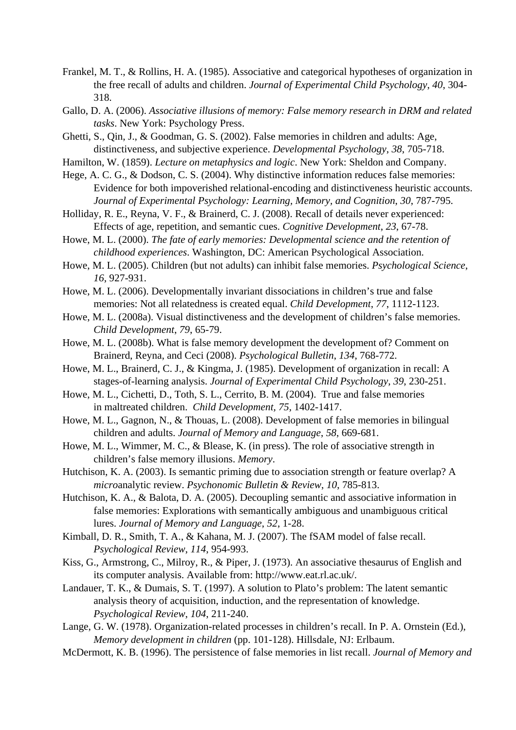- Frankel, M. T., & Rollins, H. A. (1985). Associative and categorical hypotheses of organization in the free recall of adults and children. *Journal of Experimental Child Psychology*, *40*, 304- 318.
- Gallo, D. A. (2006). *Associative illusions of memory: False memory research in DRM and related tasks*. New York: Psychology Press.
- Ghetti, S., Qin, J., & Goodman, G. S. (2002). False memories in children and adults: Age, distinctiveness, and subjective experience. *Developmental Psychology*, *38*, 705-718.
- Hamilton, W. (1859). *Lecture on metaphysics and logic*. New York: Sheldon and Company.
- Hege, A. C. G., & Dodson, C. S. (2004). Why distinctive information reduces false memories: Evidence for both impoverished relational-encoding and distinctiveness heuristic accounts. *Journal of Experimental Psychology: Learning, Memory, and Cognition*, *30*, 787-795.
- Holliday, R. E., Reyna, V. F., & Brainerd, C. J. (2008). Recall of details never experienced: Effects of age, repetition, and semantic cues. *Cognitive Development*, *23*, 67-78.
- Howe, M. L. (2000). *The fate of early memories: Developmental science and the retention of childhood experiences*. Washington, DC: American Psychological Association.
- Howe, M. L. (2005). Children (but not adults) can inhibit false memories. *Psychological Science*, *16*, 927-931.
- Howe, M. L. (2006). Developmentally invariant dissociations in children's true and false memories: Not all relatedness is created equal. *Child Development*, *77*, 1112-1123.
- Howe, M. L. (2008a). Visual distinctiveness and the development of children's false memories. *Child Development*, *79*, 65-79.
- Howe, M. L. (2008b). What is false memory development the development of? Comment on Brainerd, Reyna, and Ceci (2008). *Psychological Bulletin*, *134*, 768-772.
- Howe, M. L., Brainerd, C. J., & Kingma, J. (1985). Development of organization in recall: A stages-of-learning analysis. *Journal of Experimental Child Psychology*, *39*, 230-251.
- Howe, M. L., Cichetti, D., Toth, S. L., Cerrito, B. M. (2004). True and false memories in maltreated children. *Child Development, 75,* 1402-1417.
- Howe, M. L., Gagnon, N., & Thouas, L. (2008). Development of false memories in bilingual children and adults. *Journal of Memory and Language*, *58*, 669-681.
- Howe, M. L., Wimmer, M. C., & Blease, K. (in press). The role of associative strength in children's false memory illusions. *Memory*.
- Hutchison, K. A. (2003). Is semantic priming due to association strength or feature overlap? A *micro*analytic review. *Psychonomic Bulletin & Review*, *10*, 785-813.
- Hutchison, K. A., & Balota, D. A. (2005). Decoupling semantic and associative information in false memories: Explorations with semantically ambiguous and unambiguous critical lures. *Journal of Memory and Language*, *52*, 1-28.
- Kimball, D. R., Smith, T. A., & Kahana, M. J. (2007). The fSAM model of false recall. *Psychological Review*, *114*, 954-993.
- Kiss, G., Armstrong, C., Milroy, R., & Piper, J. (1973). An associative thesaurus of English and its computer analysis. Available from: http://www.eat.rl.ac.uk/.
- Landauer, T. K., & Dumais, S. T. (1997). A solution to Plato's problem: The latent semantic analysis theory of acquisition, induction, and the representation of knowledge. *Psychological Review*, *104*, 211-240.
- Lange, G. W. (1978). Organization-related processes in children's recall. In P. A. Ornstein (Ed.), *Memory development in children* (pp. 101-128). Hillsdale, NJ: Erlbaum.
- McDermott, K. B. (1996). The persistence of false memories in list recall. *Journal of Memory and*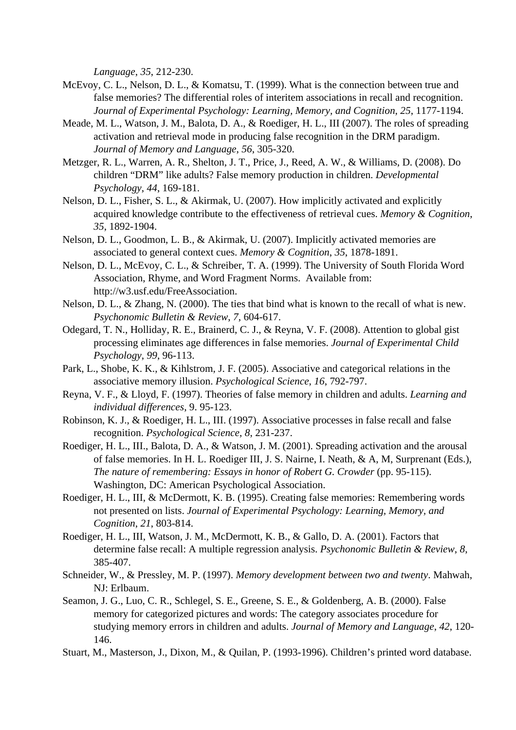*Language*, *35*, 212-230.

- McEvoy, C. L., Nelson, D. L., & Komatsu, T. (1999). What is the connection between true and false memories? The differential roles of interitem associations in recall and recognition. *Journal of Experimental Psychology: Learning, Memory, and Cognition*, *25*, 1177-1194.
- Meade, M. L., Watson, J. M., Balota, D. A., & Roediger, H. L., III (2007). The roles of spreading activation and retrieval mode in producing false recognition in the DRM paradigm. *Journal of Memory and Language*, *56*, 305-320.
- Metzger, R. L., Warren, A. R., Shelton, J. T., Price, J., Reed, A. W., & Williams, D. (2008). Do children "DRM" like adults? False memory production in children. *Developmental Psychology*, *44*, 169-181.
- Nelson, D. L., Fisher, S. L., & Akirmak, U. (2007). How implicitly activated and explicitly acquired knowledge contribute to the effectiveness of retrieval cues. *Memory & Cognition*, *35*, 1892-1904.
- Nelson, D. L., Goodmon, L. B., & Akirmak, U. (2007). Implicitly activated memories are associated to general context cues. *Memory & Cognition*, *35*, 1878-1891.
- Nelson, D. L., McEvoy, C. L., & Schreiber, T. A. (1999). The University of South Florida Word Association, Rhyme, and Word Fragment Norms. Available from: http://w3.usf.edu/FreeAssociation.
- Nelson, D. L., & Zhang, N. (2000). The ties that bind what is known to the recall of what is new. *Psychonomic Bulletin & Review*, *7*, 604-617.
- Odegard, T. N., Holliday, R. E., Brainerd, C. J., & Reyna, V. F. (2008). Attention to global gist processing eliminates age differences in false memories. *Journal of Experimental Child Psychology*, *99*, 96-113.
- Park, L., Shobe, K. K., & Kihlstrom, J. F. (2005). Associative and categorical relations in the associative memory illusion. *Psychological Science*, *16*, 792-797.
- Reyna, V. F., & Lloyd, F. (1997). Theories of false memory in children and adults. *Learning and individual differences*, 9. 95-123.
- Robinson, K. J., & Roediger, H. L., III. (1997). Associative processes in false recall and false recognition. *Psychological Science*, *8*, 231-237.
- Roediger, H. L., III., Balota, D. A., & Watson, J. M. (2001). Spreading activation and the arousal of false memories. In H. L. Roediger III, J. S. Nairne, I. Neath, & A, M, Surprenant (Eds.), *The nature of remembering: Essays in honor of Robert G. Crowder* (pp. 95-115). Washington, DC: American Psychological Association.
- Roediger, H. L., III, & McDermott, K. B. (1995). Creating false memories: Remembering words not presented on lists. *Journal of Experimental Psychology: Learning, Memory, and Cognition*, *21*, 803-814.
- Roediger, H. L., III, Watson, J. M., McDermott, K. B., & Gallo, D. A. (2001). Factors that determine false recall: A multiple regression analysis. *Psychonomic Bulletin & Review*, *8*, 385-407.
- Schneider, W., & Pressley, M. P. (1997). *Memory development between two and twenty*. Mahwah, NJ: Erlbaum.
- Seamon, J. G., Luo, C. R., Schlegel, S. E., Greene, S. E., & Goldenberg, A. B. (2000). False memory for categorized pictures and words: The category associates procedure for studying memory errors in children and adults. *Journal of Memory and Language*, *42*, 120- 146.
- Stuart, M., Masterson, J., Dixon, M., & Quilan, P. (1993-1996). Children's printed word database.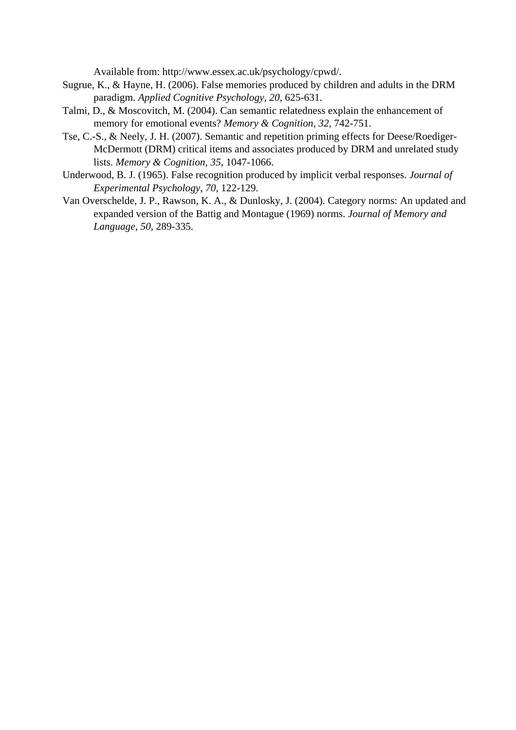Available from: http://www.essex.ac.uk/psychology/cpwd/.

- Sugrue, K., & Hayne, H. (2006). False memories produced by children and adults in the DRM paradigm. *Applied Cognitive Psychology*, *20*, 625-631.
- Talmi, D., & Moscovitch, M. (2004). Can semantic relatedness explain the enhancement of memory for emotional events? *Memory & Cognition*, *32*, 742-751.
- Tse, C.-S., & Neely, J. H. (2007). Semantic and repetition priming effects for Deese/Roediger-McDermott (DRM) critical items and associates produced by DRM and unrelated study lists. *Memory & Cognition*, *35*, 1047-1066.
- Underwood, B. J. (1965). False recognition produced by implicit verbal responses. *Journal of Experimental Psychology*, *70*, 122-129.
- Van Overschelde, J. P., Rawson, K. A., & Dunlosky, J. (2004). Category norms: An updated and expanded version of the Battig and Montague (1969) norms. *Journal of Memory and Language*, *50*, 289-335.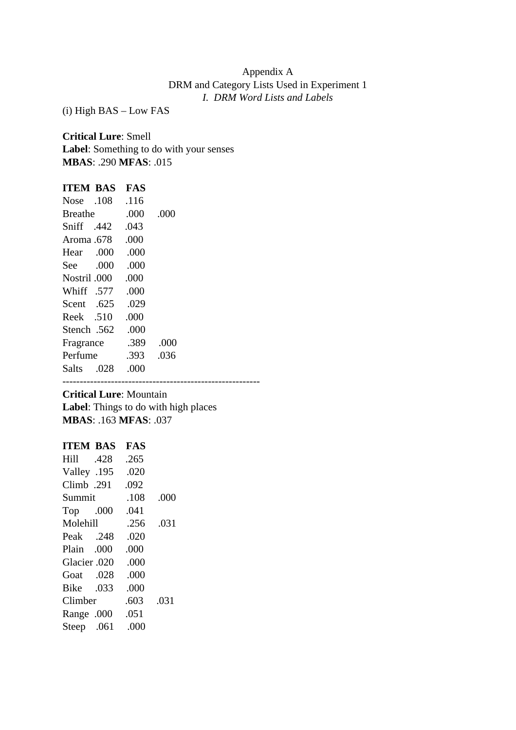## Appendix A DRM and Category Lists Used in Experiment 1 *I. DRM Word Lists and Labels*

(i) High BAS – Low FAS

**Critical Lure**: Smell **Label**: Something to do with your senses **MBAS**: .290 **MFAS**: .015

#### **ITEM BAS FAS**

| Nose .108      | .116 |      |
|----------------|------|------|
| <b>Breathe</b> | .000 | .000 |
| Sniff .442     | .043 |      |
| Aroma .678     | .000 |      |
| Hear .000      | .000 |      |
| See .000       | .000 |      |
| Nostril .000   | .000 |      |
| Whiff .577     | .000 |      |
| Scent .625     | .029 |      |
| Reek .510      | .000 |      |
| Stench .562    | .000 |      |
| Fragrance      | .389 | .000 |
| Perfume        | .393 | .036 |
| Salts .028     | .000 |      |
|                |      |      |

---------------------------------------------------------

**Critical Lure**: Mountain **Label**: Things to do with high places **MBAS**: .163 **MFAS**: .037

## **ITEM BAS FAS**

| Hill .428    | .265 |           |
|--------------|------|-----------|
| Valley .195  | .020 |           |
| $Climb$ .291 | .092 |           |
| Summit       | .108 | .000      |
| Top .000     | .041 |           |
| Molehill     |      | .256 .031 |
| Peak .248    | .020 |           |
| Plain .000   | .000 |           |
| Glacier .020 | .000 |           |
| Goat .028    | .000 |           |
| Bike .033    | .000 |           |
| Climber      | .603 | .031      |
| Range .000   | .051 |           |
| Steep $.061$ | .000 |           |
|              |      |           |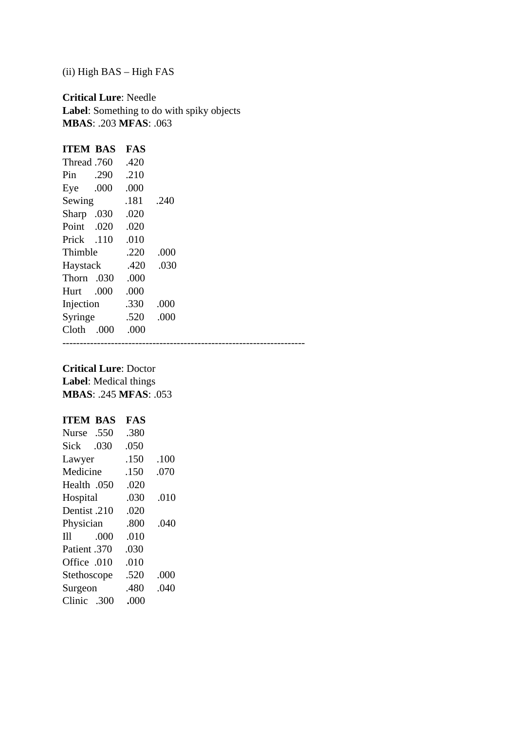(ii) High BAS – High FAS

**Critical Lure**: Needle **Label**: Something to do with spiky objects **MBAS**: .203 **MFAS**: .063

| <b>ITEM BAS</b> |      | <b>FAS</b> |      |
|-----------------|------|------------|------|
| Thread .760     |      | .420       |      |
| Pin             | .290 | .210       |      |
| Eye .000        |      | .000       |      |
| Sewing          |      | .181       | .240 |
| Sharp .030      |      | .020       |      |
| Point           | .020 | .020       |      |
| Prick .110      |      | .010       |      |
| Thimble         |      | .220       | .000 |
| Haystack        |      | .420       | .030 |
| Thorn .030      |      | .000       |      |
| Hurt            | .000 | .000       |      |
| Injection       |      | .330       | .000 |
| Syringe         |      | .520       | .000 |
| Cloth           | .000 | .000       |      |
|                 |      |            |      |

**Critical Lure**: Doctor **Label**: Medical things **MBAS**: .245 **MFAS**: .053

## **ITEM BAS FAS**

| Nurse .550   | .380 |      |
|--------------|------|------|
| Sick .030    | .050 |      |
| Lawyer       | .150 | .100 |
| Medicine     | .150 | .070 |
| Health .050  | .020 |      |
| Hospital     | .030 | .010 |
| Dentist .210 | .020 |      |
| Physician    | .800 | .040 |
| Ill .000     | .010 |      |
| Patient .370 | .030 |      |
| Office .010  | .010 |      |
| Stethoscope  | .520 | .000 |
| Surgeon      | .480 | .040 |
| Clinic .300  | .000 |      |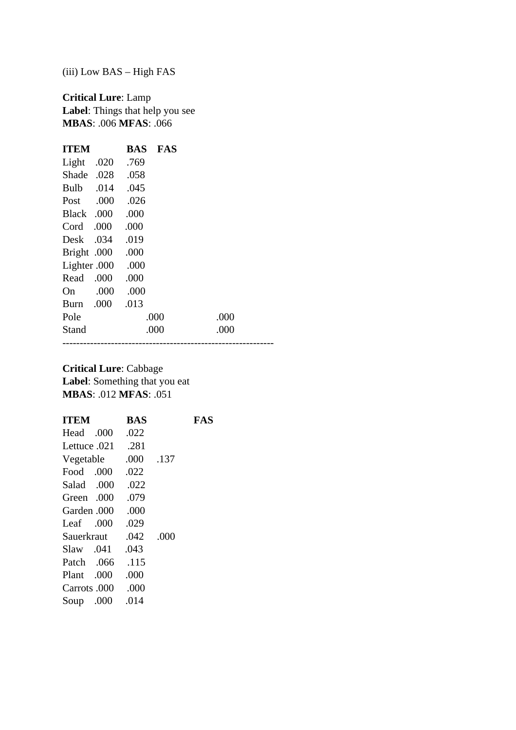(iii) Low BAS – High FAS

**Critical Lure**: Lamp **Label**: Things that help you see **MBAS**: .006 **MFAS**: .066

| <b>ITEM</b>   | BAS  | FAS |      |  |
|---------------|------|-----|------|--|
| Light<br>.020 | .769 |     |      |  |
| Shade .028    | .058 |     |      |  |
| Bulb<br>.014  | .045 |     |      |  |
| Post .000     | .026 |     |      |  |
| Black .000    | .000 |     |      |  |
| .000<br>Cord  | .000 |     |      |  |
| Desk .034     | .019 |     |      |  |
| Bright .000   | .000 |     |      |  |
| Lighter .000  | .000 |     |      |  |
| .000<br>Read  | .000 |     |      |  |
| .000<br>On    | .000 |     |      |  |
| Burn .000     | .013 |     |      |  |
| Pole          | .000 |     | .000 |  |
| Stand         | .000 |     | .000 |  |
|               |      |     |      |  |

**Critical Lure**: Cabbage **Label**: Something that you eat **MBAS**: .012 **MFAS**: .051

| <b>ITEM</b>       | <b>BAS</b> |      | <b>FAS</b> |
|-------------------|------------|------|------------|
| Head .000         | .022       |      |            |
| Lettuce .021      | .281       |      |            |
| Vegetable         | .000 .137  |      |            |
| Food .000         | .022       |      |            |
| Salad .000        | .022       |      |            |
| Green .000        | .079       |      |            |
| Garden .000       | .000       |      |            |
| Leaf .000         | .029       |      |            |
| Sauerkraut        | .042       | .000 |            |
| $Slaw$ .041       | .043       |      |            |
| Patch .066        | .115       |      |            |
| Plant .000        | .000       |      |            |
| Carrots .000 .000 |            |      |            |
| Soup .000         | .014       |      |            |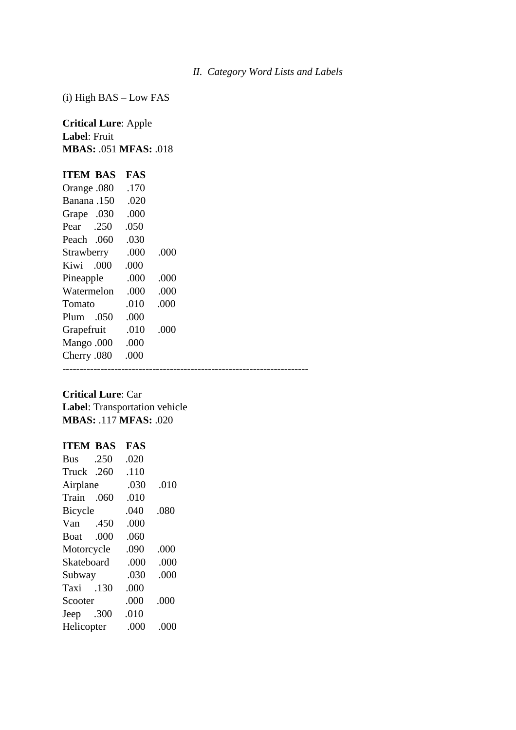## *II. Category Word Lists and Labels*

(i) High BAS – Low FAS

**Critical Lure**: Apple **Label**: Fruit **MBAS:** .051 **MFAS:** .018

| <b>ITEM BAS</b> | <b>FAS</b> |      |
|-----------------|------------|------|
| Orange .080     | .170       |      |
| Banana .150     | .020       |      |
| .030<br>Grape   | .000       |      |
| .250<br>Pear    | .050       |      |
| Peach<br>.060   | .030       |      |
| Strawberry      | .000       | .000 |
| Kiwi<br>.000    | .000       |      |
| Pineapple       | .000       | .000 |
| Watermelon      | .000       | .000 |
| Tomato          | .010       | .000 |
| .050<br>Plum    | .000       |      |
| Grapefruit      | .010       | .000 |
| Mango .000      | .000       |      |
| Cherry .080     | .000       |      |
|                 |            |      |

**Critical Lure**: Car **Label**: Transportation vehicle **MBAS:** .117 **MFAS:** .020

| <b>ITEM BAS</b> |      | <b>FAS</b> |      |
|-----------------|------|------------|------|
| <b>Bus</b>      | .250 | .020       |      |
| Truck .260      |      | .110       |      |
| Airplane        |      | .030       | .010 |
| Train .060      |      | .010       |      |
| Bicycle         |      | .040       | .080 |
| Van .450        |      | .000       |      |
| Boat .000       |      | .060       |      |
| Motorcycle      |      | .090       | .000 |
| Skateboard      |      | .000       | .000 |
| Subway          |      | .030       | .000 |
| Taxi .130       |      | .000       |      |
| Scooter         |      | .000       | .000 |
| Jeep .300       |      | .010       |      |
| Helicopter      |      | .000       | .000 |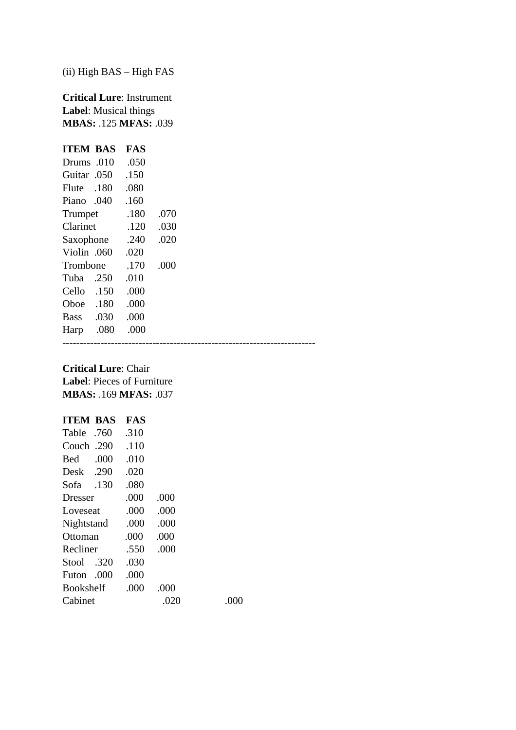(ii) High BAS – High FAS

**Critical Lure**: Instrument **Label**: Musical things **MBAS:** .125 **MFAS:** .039

| <b>ITEM BAS</b>     | <b>FAS</b> |      |  |
|---------------------|------------|------|--|
| Drums .010          | .050       |      |  |
| Guitar .050         | .150       |      |  |
| .180<br>Flute       | .080       |      |  |
| Piano .040          | .160       |      |  |
| Trumpet             | .180       | .070 |  |
| Clarinet            | .120       | .030 |  |
| Saxophone           | .240       | .020 |  |
| Violin .060         | .020       |      |  |
| Trombone            | .170       | .000 |  |
| Tuba<br>.250        | .010       |      |  |
| Cello<br>.150       | .000       |      |  |
| .180<br>Oboe        | .000       |      |  |
| .030<br><b>Bass</b> | .000       |      |  |
| .080<br>Harp        | .000       |      |  |
|                     |            |      |  |

**Critical Lure**: Chair **Label**: Pieces of Furniture **MBAS:** .169 **MFAS:** .037

## **ITEM BAS FAS**

| Table<br>.760      | .310 |      |        |
|--------------------|------|------|--------|
| Couch .290         | .110 |      |        |
| .000<br><b>Bed</b> | .010 |      |        |
| Desk .290          | .020 |      |        |
| .130<br>Sofa       | .080 |      |        |
| Dresser            | .000 | .000 |        |
| Loveseat           | .000 | .000 |        |
| Nightstand         | .000 | .000 |        |
| Ottoman            | .000 | .000 |        |
| Recliner           | .550 | .000 |        |
| .320<br>Stool      | .030 |      |        |
| Futon .000         | .000 |      |        |
| <b>Bookshelf</b>   | .000 | .000 |        |
| Cabinet            |      | .020 | .OO 10 |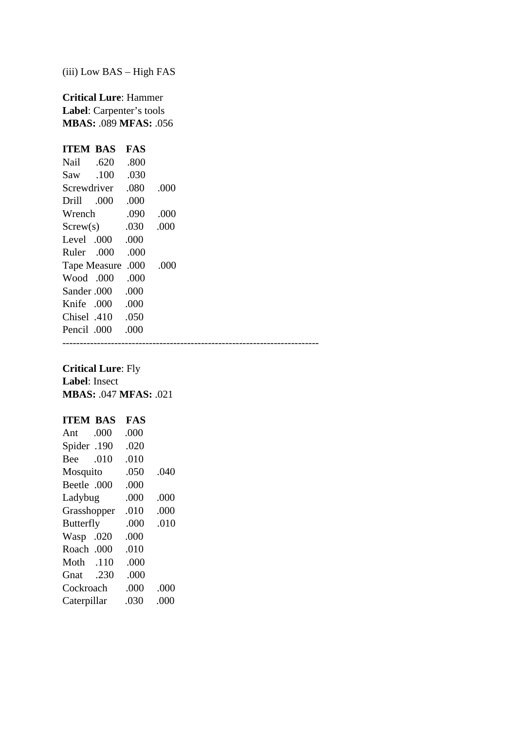(iii) Low BAS – High FAS

**Critical Lure**: Hammer **Label**: Carpenter's tools **MBAS:** .089 **MFAS:** .056

| <b>ITEM BAS</b> |      | FAS  |      |
|-----------------|------|------|------|
| Nail            | .620 | .800 |      |
| Saw             | .100 | .030 |      |
| Screwdriver     |      | .080 | .000 |
| Drill           | .000 | .000 |      |
| Wrench          |      | .090 | .000 |
| Screw(s)        |      | .030 | .000 |
| Level .000      |      | .000 |      |
| Ruler           | .000 | .000 |      |
| Tape Measure    |      | .000 | .000 |
| 000. Wood       |      | .000 |      |
| Sander .000     |      | .000 |      |
| Knife .000      |      | .000 |      |
| 410. Chisel     |      | .050 |      |
| Pencil .000     |      | .000 |      |
|                 |      |      |      |

**Critical Lure**: Fly **Label**: Insect **MBAS:** .047 **MFAS:** .021

## **ITEM BAS FAS**

| .000 |      |
|------|------|
| .020 |      |
| .010 |      |
| .050 | .040 |
| .000 |      |
| .000 | .000 |
| .010 | .000 |
| .000 | .010 |
| .000 |      |
| .010 |      |
| .000 |      |
| .000 |      |
| .000 | .000 |
| .030 | .000 |
|      |      |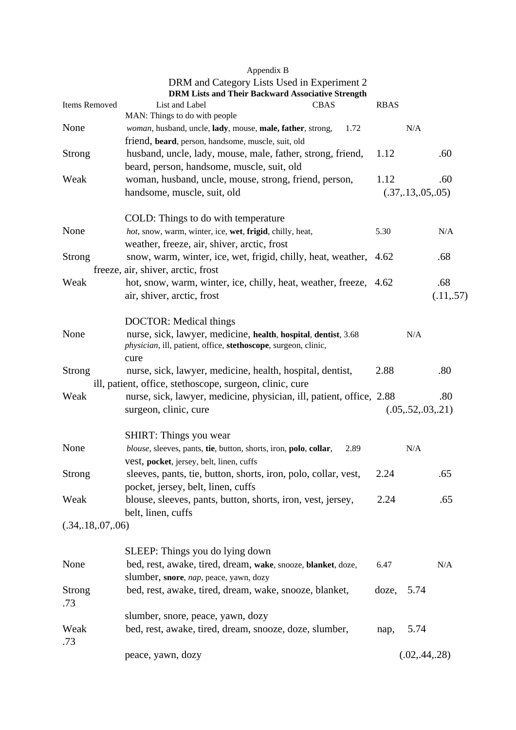|                      | Appendix B                                                               |             |                      |
|----------------------|--------------------------------------------------------------------------|-------------|----------------------|
|                      | DRM and Category Lists Used in Experiment 2                              |             |                      |
|                      | <b>DRM Lists and Their Backward Associative Strength</b>                 |             |                      |
| Items Removed        | List and Label<br><b>CBAS</b>                                            | <b>RBAS</b> |                      |
|                      | MAN: Things to do with people                                            |             |                      |
| None                 | woman, husband, uncle, lady, mouse, male, father, strong,<br>1.72        |             | N/A                  |
|                      | friend, beard, person, handsome, muscle, suit, old                       |             |                      |
| Strong               | husband, uncle, lady, mouse, male, father, strong, friend,               | 1.12        | .60                  |
|                      | beard, person, handsome, muscle, suit, old                               |             |                      |
| Weak                 | woman, husband, uncle, mouse, strong, friend, person,                    | 1.12        | .60                  |
|                      | handsome, muscle, suit, old                                              |             | (.37, .13, .05, .05) |
|                      | COLD: Things to do with temperature                                      |             |                      |
| None                 | hot, snow, warm, winter, ice, wet, frigid, chilly, heat,                 | 5.30        | N/A                  |
|                      | weather, freeze, air, shiver, arctic, frost                              |             |                      |
| Strong               | snow, warm, winter, ice, wet, frigid, chilly, heat, weather,             | 4.62        | .68                  |
|                      | freeze, air, shiver, arctic, frost                                       |             |                      |
| Weak                 | hot, snow, warm, winter, ice, chilly, heat, weather, freeze, 4.62        |             | .68                  |
|                      | air, shiver, arctic, frost                                               |             | (.11, .57)           |
|                      | <b>DOCTOR:</b> Medical things                                            |             |                      |
| None                 | nurse, sick, lawyer, medicine, health, hospital, dentist, 3.68           |             | N/A                  |
|                      | physician, ill, patient, office, stethoscope, surgeon, clinic,           |             |                      |
|                      | cure                                                                     |             |                      |
| Strong               | nurse, sick, lawyer, medicine, health, hospital, dentist,                | 2.88        | .80                  |
|                      | ill, patient, office, stethoscope, surgeon, clinic, cure                 |             |                      |
| Weak                 | nurse, sick, lawyer, medicine, physician, ill, patient, office, 2.88     |             | .80                  |
|                      | surgeon, clinic, cure                                                    |             | (.05, .52, .03, .21) |
|                      | SHIRT: Things you wear                                                   |             |                      |
| None                 | blouse, sleeves, pants, tie, button, shorts, iron, polo, collar,<br>2.89 |             | N/A                  |
|                      | vest, pocket, jersey, belt, linen, cuffs                                 |             |                      |
| Strong               | sleeves, pants, tie, button, shorts, iron, polo, collar, vest,           | 2.24        | .65                  |
|                      | pocket, jersey, belt, linen, cuffs                                       |             |                      |
| Weak                 | blouse, sleeves, pants, button, shorts, iron, vest, jersey,              | 2.24        | .65                  |
|                      | belt, linen, cuffs                                                       |             |                      |
| (.34, .18, .07, .06) |                                                                          |             |                      |
|                      |                                                                          |             |                      |
|                      | SLEEP: Things you do lying down                                          |             |                      |
| None                 | bed, rest, awake, tired, dream, wake, snooze, blanket, doze,             | 6.47        | N/A                  |
|                      | slumber, snore, nap, peace, yawn, dozy                                   |             |                      |
| Strong<br>.73        | bed, rest, awake, tired, dream, wake, snooze, blanket,                   | doze,       | 5.74                 |
|                      | slumber, snore, peace, yawn, dozy                                        |             |                      |
| Weak                 | bed, rest, awake, tired, dream, snooze, doze, slumber,                   | nap,        | 5.74                 |
| .73                  |                                                                          |             |                      |
|                      | peace, yawn, dozy                                                        |             | (.02, .44, .28)      |
|                      |                                                                          |             |                      |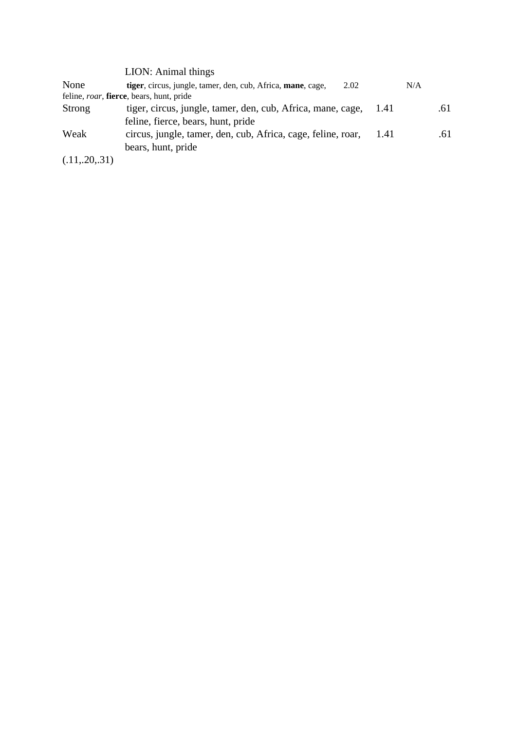|                 | LION: Animal things                                                 |       |     |     |
|-----------------|---------------------------------------------------------------------|-------|-----|-----|
| None            | tiger, circus, jungle, tamer, den, cub, Africa, mane, cage,<br>2.02 |       | N/A |     |
|                 | feline, roar, fierce, bears, hunt, pride                            |       |     |     |
| Strong          | tiger, circus, jungle, tamer, den, cub, Africa, mane, cage,         | -1.41 |     | .61 |
|                 | feline, fierce, bears, hunt, pride                                  |       |     |     |
| Weak            | circus, jungle, tamer, den, cub, Africa, cage, feline, roar,        | 1.41  |     | .61 |
|                 | bears, hunt, pride                                                  |       |     |     |
| (.11, .20, .31) |                                                                     |       |     |     |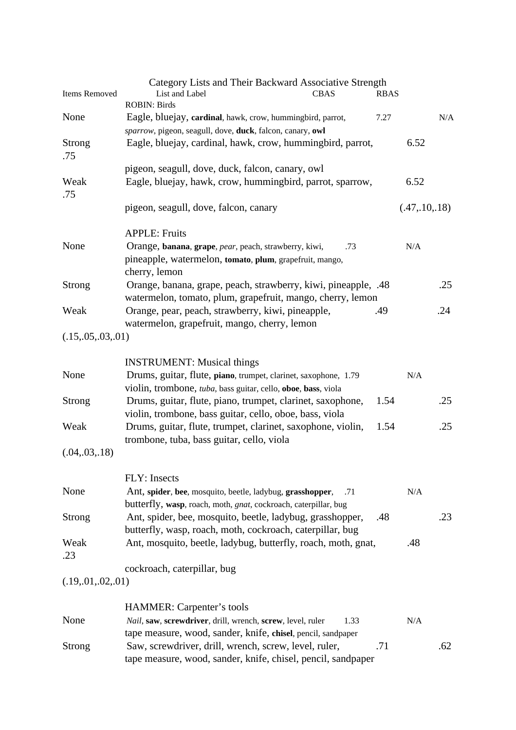|                      | Category Lists and Their Backward Associative Strength                                                                               |      |             |                 |
|----------------------|--------------------------------------------------------------------------------------------------------------------------------------|------|-------------|-----------------|
| Items Removed        | List and Label<br>CBAS<br><b>ROBIN: Birds</b>                                                                                        |      | <b>RBAS</b> |                 |
| None                 | Eagle, bluejay, cardinal, hawk, crow, hummingbird, parrot,                                                                           |      | 7.27        | N/A             |
|                      | sparrow, pigeon, seagull, dove, duck, falcon, canary, owl                                                                            |      |             |                 |
| Strong<br>.75        | Eagle, bluejay, cardinal, hawk, crow, hummingbird, parrot,                                                                           |      | 6.52        |                 |
|                      | pigeon, seagull, dove, duck, falcon, canary, owl                                                                                     |      |             |                 |
| Weak<br>.75          | Eagle, bluejay, hawk, crow, hummingbird, parrot, sparrow,                                                                            |      | 6.52        |                 |
|                      | pigeon, seagull, dove, falcon, canary                                                                                                |      |             | (.47, .10, .18) |
|                      | <b>APPLE: Fruits</b>                                                                                                                 |      |             |                 |
| None                 | Orange, banana, grape, pear, peach, strawberry, kiwi,                                                                                | .73  | $\rm N/A$   |                 |
|                      | pineapple, watermelon, tomato, plum, grapefruit, mango,<br>cherry, lemon                                                             |      |             |                 |
| <b>Strong</b>        | Orange, banana, grape, peach, strawberry, kiwi, pineapple, .48<br>watermelon, tomato, plum, grapefruit, mango, cherry, lemon         |      |             | .25             |
| Weak                 | Orange, pear, peach, strawberry, kiwi, pineapple,<br>watermelon, grapefruit, mango, cherry, lemon                                    |      | .49         | .24             |
| (.15, .05, .03, .01) |                                                                                                                                      |      |             |                 |
|                      | <b>INSTRUMENT:</b> Musical things                                                                                                    |      |             |                 |
| None                 | Drums, guitar, flute, piano, trumpet, clarinet, saxophone, 1.79<br>violin, trombone, tuba, bass guitar, cello, oboe, bass, viola     |      | N/A         |                 |
| <b>Strong</b>        | Drums, guitar, flute, piano, trumpet, clarinet, saxophone,<br>violin, trombone, bass guitar, cello, oboe, bass, viola                |      | 1.54        | .25             |
| Weak                 | Drums, guitar, flute, trumpet, clarinet, saxophone, violin,<br>trombone, tuba, bass guitar, cello, viola                             |      | 1.54        | .25             |
| (.04, .03, .18)      |                                                                                                                                      |      |             |                 |
|                      | FLY: Insects                                                                                                                         |      |             |                 |
| None                 | Ant, spider, bee, mosquito, beetle, ladybug, grasshopper,<br>butterfly, wasp, roach, moth, <i>gnat</i> , cockroach, caterpillar, bug | .71  | N/A         |                 |
| Strong               | Ant, spider, bee, mosquito, beetle, ladybug, grasshopper,<br>butterfly, wasp, roach, moth, cockroach, caterpillar, bug               |      | .48         | .23             |
| Weak<br>.23          | Ant, mosquito, beetle, ladybug, butterfly, roach, moth, gnat,                                                                        |      | .48         |                 |
|                      | cockroach, caterpillar, bug                                                                                                          |      |             |                 |
| (.19, .01, .02, .01) |                                                                                                                                      |      |             |                 |
|                      | <b>HAMMER:</b> Carpenter's tools                                                                                                     |      |             |                 |
| None                 | Nail, saw, screwdriver, drill, wrench, screw, level, ruler<br>tape measure, wood, sander, knife, chisel, pencil, sandpaper           | 1.33 | N/A         |                 |
| Strong               | Saw, screwdriver, drill, wrench, screw, level, ruler,<br>tape measure, wood, sander, knife, chisel, pencil, sandpaper                |      | .71         | .62             |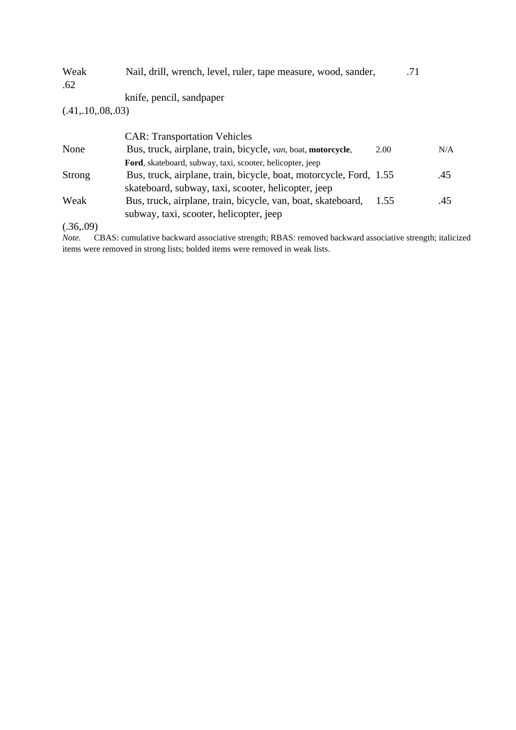| Weak | Nail, drill, wrench, level, ruler, tape measure, wood, sander, |  |
|------|----------------------------------------------------------------|--|
| .62  |                                                                |  |

knife, pencil, sandpaper

 $(.41, .10, .08, .03)$ 

|        | <b>CAR: Transportation Vehicles</b>                                |      |     |
|--------|--------------------------------------------------------------------|------|-----|
| None   | Bus, truck, airplane, train, bicycle, van, boat, motorcycle,       | 2.00 | N/A |
|        | Ford, skateboard, subway, taxi, scooter, helicopter, jeep          |      |     |
| Strong | Bus, truck, airplane, train, bicycle, boat, motorcycle, Ford, 1.55 |      | .45 |
|        | skateboard, subway, taxi, scooter, helicopter, jeep                |      |     |
| Weak   | Bus, truck, airplane, train, bicycle, van, boat, skateboard,       | 1.55 | .45 |
|        | subway, taxi, scooter, helicopter, jeep                            |      |     |

(.36,.09)

*Note.* CBAS: cumulative backward associative strength; RBAS: removed backward associative strength; italicized items were removed in strong lists; bolded items were removed in weak lists.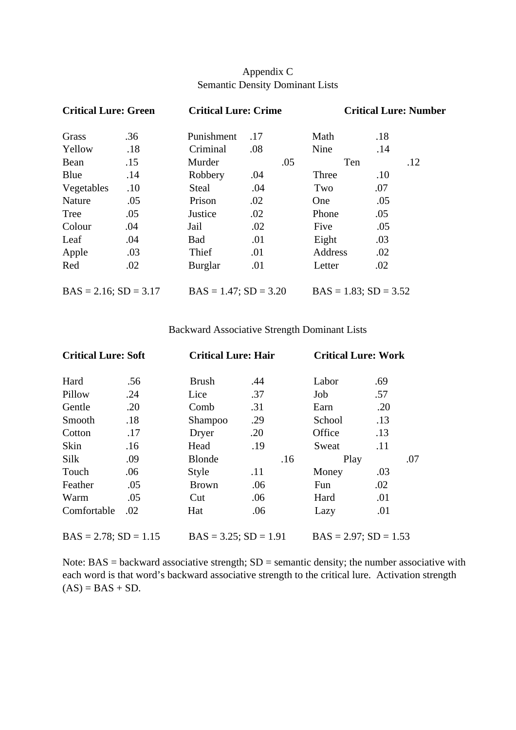## Appendix C Semantic Density Dominant Lists

| <b>Critical Lure: Green</b> |     |                            | <b>Critical Lure: Crime</b> |     |                            | <b>Critical Lure: Number</b> |     |
|-----------------------------|-----|----------------------------|-----------------------------|-----|----------------------------|------------------------------|-----|
| Grass                       | .36 | Punishment                 | .17                         |     | Math                       | .18                          |     |
| Yellow                      | .18 | Criminal                   | .08                         |     | Nine                       | .14                          |     |
| Bean                        | .15 | Murder                     |                             | .05 | Ten                        |                              | .12 |
| Blue                        | .14 | Robbery                    | .04                         |     | Three                      | .10                          |     |
| Vegetables                  | .10 | Steal                      | .04                         |     | Two                        | .07                          |     |
| Nature                      | .05 | Prison                     | .02                         |     | <b>One</b>                 | .05                          |     |
| Tree                        | .05 | Justice                    | .02                         |     | Phone                      | .05                          |     |
| Colour                      | .04 | Jail                       | .02                         |     | Five                       | .05                          |     |
| Leaf                        | .04 | Bad                        | .01                         |     | Eight                      | .03                          |     |
| Apple                       | .03 | Thief                      | .01                         |     | Address                    | .02                          |     |
| Red                         | .02 | <b>Burglar</b>             | .01                         |     | Letter                     | .02                          |     |
| $BAS = 2.16$ ; $SD = 3.17$  |     | $BAS = 1.47$ ; $SD = 3.20$ |                             |     | $BAS = 1.83$ ; $SD = 3.52$ |                              |     |

## Backward Associative Strength Dominant Lists

| <b>Critical Lure: Soft</b> |     |                            | <b>Critical Lure: Hair</b> |                            | <b>Critical Lure: Work</b> |     |
|----------------------------|-----|----------------------------|----------------------------|----------------------------|----------------------------|-----|
| Hard                       | .56 | <b>Brush</b>               | .44                        | Labor                      | .69                        |     |
| Pillow                     | .24 | Lice                       | .37                        | Job                        | .57                        |     |
| Gentle                     | .20 | Comb                       | .31                        | Earn                       | .20                        |     |
| Smooth                     | .18 | Shampoo                    | .29                        | School                     | .13                        |     |
| Cotton                     | .17 | Dryer                      | .20                        | Office                     | .13                        |     |
| Skin                       | .16 | Head                       | .19                        | Sweat                      | .11                        |     |
| Silk                       | .09 | <b>Blonde</b>              | .16                        | Play                       |                            | .07 |
| Touch                      | .06 | Style                      | .11                        | Money                      | .03                        |     |
| Feather                    | .05 | <b>Brown</b>               | .06                        | Fun                        | .02                        |     |
| Warm                       | .05 | Cut                        | .06                        | Hard                       | .01                        |     |
| Comfortable                | .02 | Hat                        | .06                        | Lazy                       | .01                        |     |
| $BAS = 2.78$ ; $SD = 1.15$ |     | $BAS = 3.25$ ; $SD = 1.91$ |                            | $BAS = 2.97$ ; $SD = 1.53$ |                            |     |

Note: BAS = backward associative strength; SD = semantic density; the number associative with each word is that word's backward associative strength to the critical lure. Activation strength  $(AS) = BAS + SD.$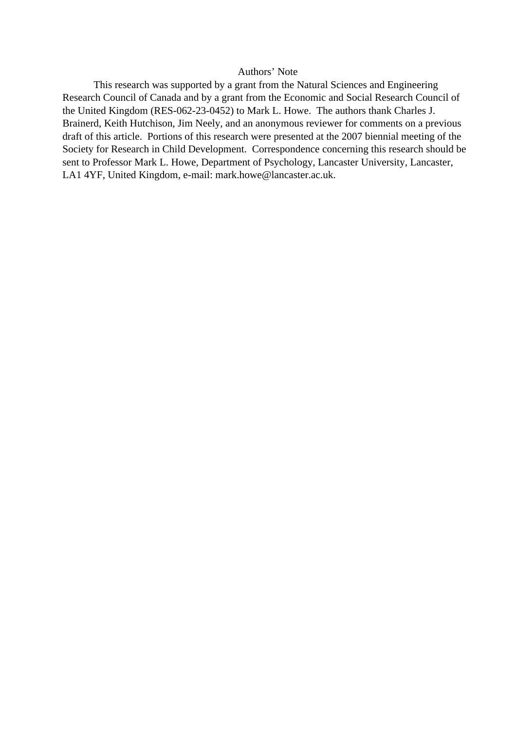#### Authors' Note

This research was supported by a grant from the Natural Sciences and Engineering Research Council of Canada and by a grant from the Economic and Social Research Council of the United Kingdom (RES-062-23-0452) to Mark L. Howe. The authors thank Charles J. Brainerd, Keith Hutchison, Jim Neely, and an anonymous reviewer for comments on a previous draft of this article. Portions of this research were presented at the 2007 biennial meeting of the Society for Research in Child Development. Correspondence concerning this research should be sent to Professor Mark L. Howe, Department of Psychology, Lancaster University, Lancaster, LA1 4YF, United Kingdom, e-mail: mark.howe@lancaster.ac.uk.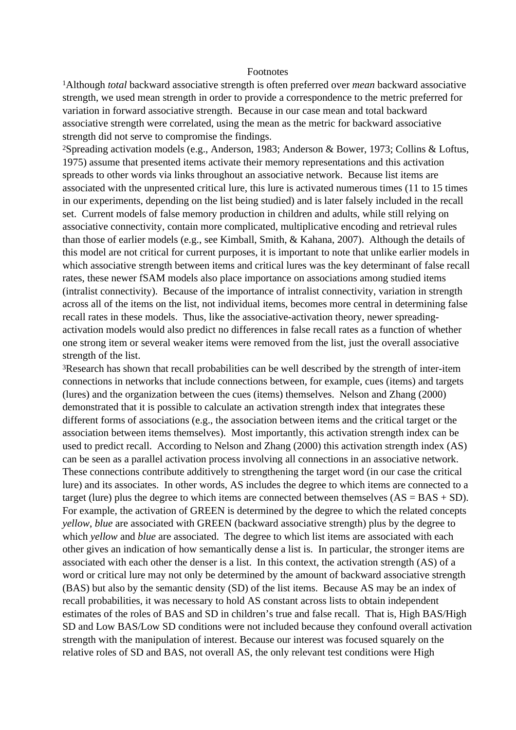#### Footnotes

<sup>1</sup>Although *total* backward associative strength is often preferred over *mean* backward associative strength, we used mean strength in order to provide a correspondence to the metric preferred for variation in forward associative strength. Because in our case mean and total backward associative strength were correlated, using the mean as the metric for backward associative strength did not serve to compromise the findings.

<sup>2</sup>Spreading activation models (e.g., Anderson, 1983; Anderson & Bower, 1973; Collins & Loftus, 1975) assume that presented items activate their memory representations and this activation spreads to other words via links throughout an associative network. Because list items are associated with the unpresented critical lure, this lure is activated numerous times (11 to 15 times in our experiments, depending on the list being studied) and is later falsely included in the recall set. Current models of false memory production in children and adults, while still relying on associative connectivity, contain more complicated, multiplicative encoding and retrieval rules than those of earlier models (e.g., see Kimball, Smith, & Kahana, 2007). Although the details of this model are not critical for current purposes, it is important to note that unlike earlier models in which associative strength between items and critical lures was the key determinant of false recall rates, these newer fSAM models also place importance on associations among studied items (intralist connectivity). Because of the importance of intralist connectivity, variation in strength across all of the items on the list, not individual items, becomes more central in determining false recall rates in these models. Thus, like the associative-activation theory, newer spreadingactivation models would also predict no differences in false recall rates as a function of whether one strong item or several weaker items were removed from the list, just the overall associative strength of the list.

<sup>3</sup>Research has shown that recall probabilities can be well described by the strength of inter-item connections in networks that include connections between, for example, cues (items) and targets (lures) and the organization between the cues (items) themselves. Nelson and Zhang (2000) demonstrated that it is possible to calculate an activation strength index that integrates these different forms of associations (e.g., the association between items and the critical target or the association between items themselves). Most importantly, this activation strength index can be used to predict recall. According to Nelson and Zhang (2000) this activation strength index (AS) can be seen as a parallel activation process involving all connections in an associative network. These connections contribute additively to strengthening the target word (in our case the critical lure) and its associates. In other words, AS includes the degree to which items are connected to a target (lure) plus the degree to which items are connected between themselves  $(AS = BAS + SD)$ . For example, the activation of GREEN is determined by the degree to which the related concepts *yellow*, *blue* are associated with GREEN (backward associative strength) plus by the degree to which *yellow* and *blue* are associated. The degree to which list items are associated with each other gives an indication of how semantically dense a list is. In particular, the stronger items are associated with each other the denser is a list. In this context, the activation strength (AS) of a word or critical lure may not only be determined by the amount of backward associative strength (BAS) but also by the semantic density (SD) of the list items. Because AS may be an index of recall probabilities, it was necessary to hold AS constant across lists to obtain independent estimates of the roles of BAS and SD in children's true and false recall. That is, High BAS/High SD and Low BAS/Low SD conditions were not included because they confound overall activation strength with the manipulation of interest. Because our interest was focused squarely on the relative roles of SD and BAS, not overall AS, the only relevant test conditions were High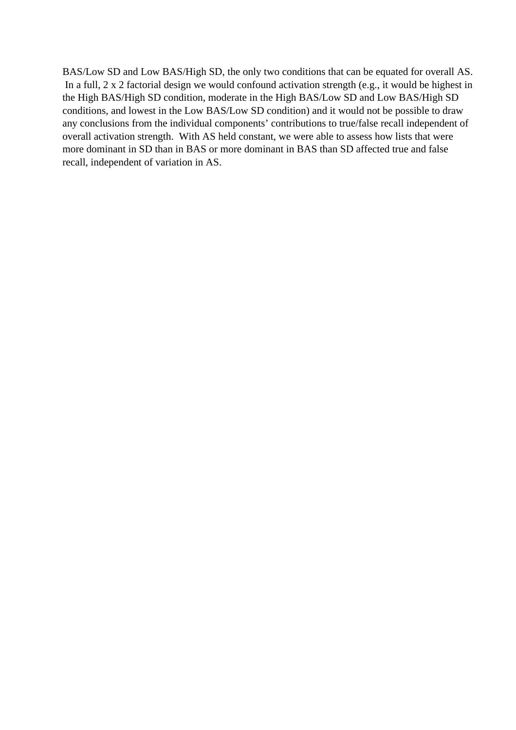BAS/Low SD and Low BAS/High SD, the only two conditions that can be equated for overall AS. In a full, 2 x 2 factorial design we would confound activation strength (e.g., it would be highest in the High BAS/High SD condition, moderate in the High BAS/Low SD and Low BAS/High SD conditions, and lowest in the Low BAS/Low SD condition) and it would not be possible to draw any conclusions from the individual components' contributions to true/false recall independent of overall activation strength. With AS held constant, we were able to assess how lists that were more dominant in SD than in BAS or more dominant in BAS than SD affected true and false recall, independent of variation in AS.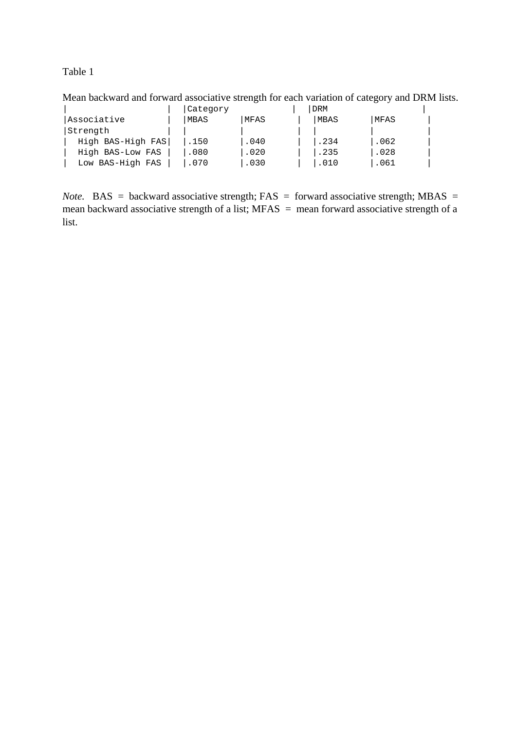Table 1

Mean backward and forward associative strength for each variation of category and DRM lists.

|                   | Category |      | DRM         |      |  |
|-------------------|----------|------|-------------|------|--|
| Associative       | MBAS     | MFAS | <b>MBAS</b> | MFAS |  |
| Strength          |          |      |             |      |  |
| High BAS-High FAS | . . 150  | .040 | .234        | .062 |  |
| High BAS-Low FAS  | .080     | .020 | .235        | .028 |  |
| Low BAS-High FAS  | .070     | .030 | .010        | .061 |  |

*Note.* BAS = backward associative strength; FAS = forward associative strength; MBAS = mean backward associative strength of a list; MFAS = mean forward associative strength of a list.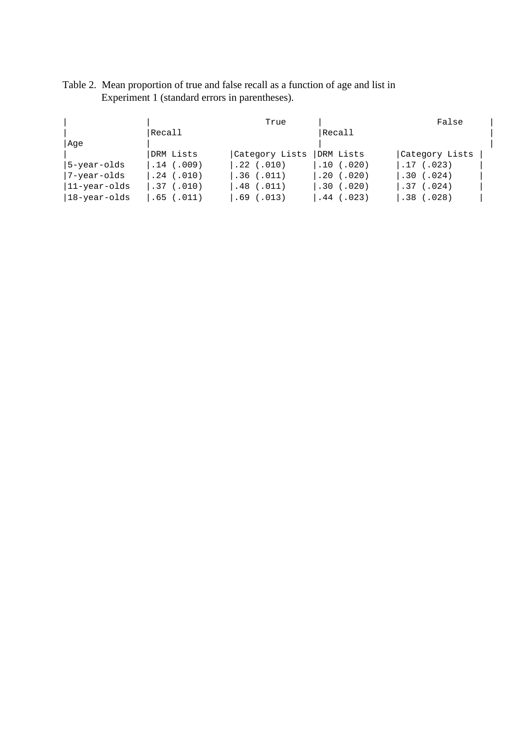## Table 2. Mean proportion of true and false recall as a function of age and list in Experiment 1 (standard errors in parentheses).

|                     |               | True           |            | False              |
|---------------------|---------------|----------------|------------|--------------------|
|                     | Recall        |                | Recall     |                    |
| Aqe                 |               |                |            |                    |
|                     | DRM Lists     | Category Lists | DRM Lists  | Category Lists     |
| 5-year-olds         | $1.14$ (.009) | $.22$ (.010)   | .10(0.020) | $  .17 \; ( .023)$ |
| 7-year-olds         | $.24$ (.010)  | .36(.011)      | .20(0.020) | .30(0.024)         |
| 11-year-olds        | .37(.010)     | $.48$ (.011)   | .30(0.020) | $.37$ (.024)       |
| $ 18 - year -$ olds | $.65$ (.011)  | $.69$ (.013)   | .44(.023)  | $.38$ (.028)       |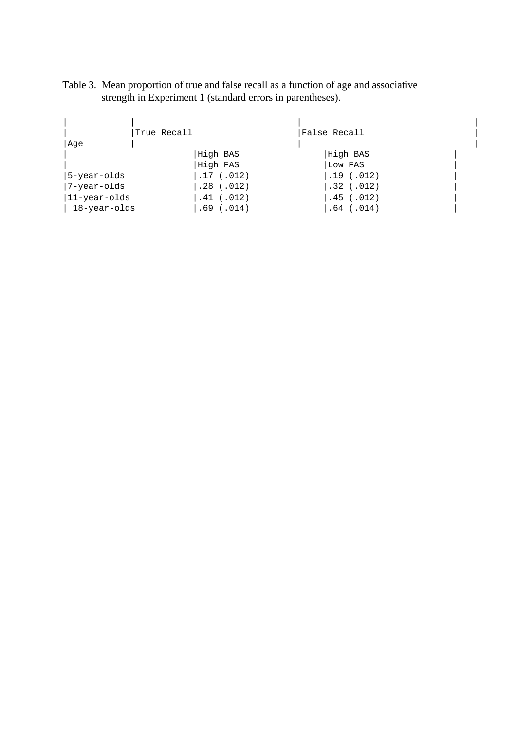Table 3. Mean proportion of true and false recall as a function of age and associative strength in Experiment 1 (standard errors in parentheses).

|                     | True Recall  | False Recall |  |
|---------------------|--------------|--------------|--|
| Aqe                 |              |              |  |
|                     | High BAS     | High BAS     |  |
|                     | High FAS     | Low FAS      |  |
| 5-year-olds         | .17(.012)    | .19(.012)    |  |
| 7-year-olds         | $.28$ (.012) | $.32$ (.012) |  |
| $ 11 - year -$ olds | .41(.012)    | .45(.012)    |  |
| 18-year-olds        | $.69$ (.014) | $.64$ (.014) |  |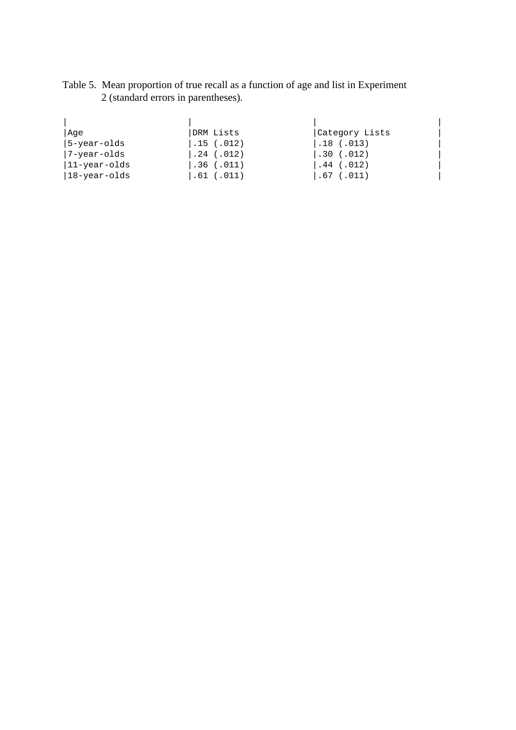## Table 5. Mean proportion of true recall as a function of age and list in Experiment 2 (standard errors in parentheses).

| Aqe                 | DRM Lists    | Category Lists              |  |
|---------------------|--------------|-----------------------------|--|
| $ 5 - year -$ olds  | .15(.012)    | .18(.013)                   |  |
| 7-year-olds         | .24(.012)    | .30(.012)                   |  |
| $ 11 - year -$ olds | 1.36(0.011)  | .44(.012)                   |  |
| $ 18 - year -$ olds | $.61$ (.011) | $\vert .67 \; (.011) \vert$ |  |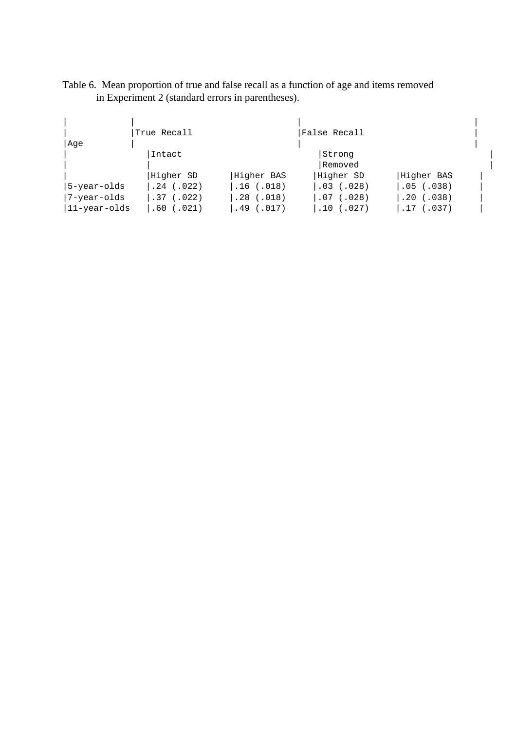Table 6. Mean proportion of true and false recall as a function of age and items removed in Experiment 2 (standard errors in parentheses).

| Age                                            | True Recall                            |                                        | False Recall                               |                                      |  |
|------------------------------------------------|----------------------------------------|----------------------------------------|--------------------------------------------|--------------------------------------|--|
|                                                | Intact                                 |                                        | Strong<br>Removed                          |                                      |  |
|                                                | Higher SD                              | Higher BAS                             | Higher SD                                  | Higher BAS                           |  |
| 5-year-olds<br>7-year-olds<br>$ 11$ -year-olds | .24(.022)<br>.37(.022)<br>$.60$ (.021) | .16(.018)<br>$.28$ (.018)<br>.49(.017) | $.03$ (.028)<br>$.07$ (.028)<br>.10(0.027) | .05(0.038)<br>.20(0.038)<br>.17(037) |  |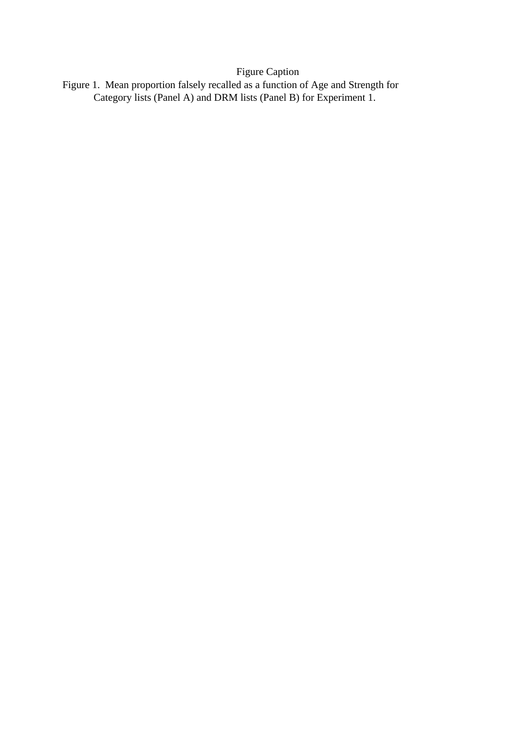Figure Caption

Figure 1. Mean proportion falsely recalled as a function of Age and Strength for Category lists (Panel A) and DRM lists (Panel B) for Experiment 1.